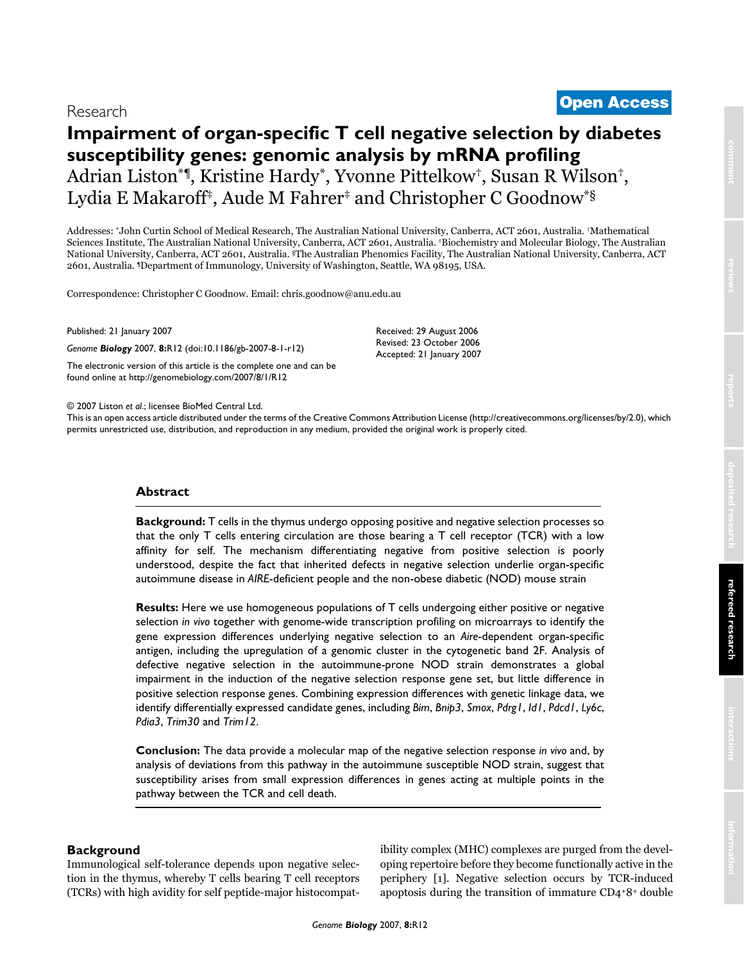# **Impairment of organ-specific T cell negative selection by diabetes susceptibility genes: genomic analysis by mRNA profiling** Adrian Liston\*¶, Kristine Hardy\*, Yvonne Pittelkow†, Susan R Wilson†, Lydia E Makaroff<sup>‡</sup>, Aude M Fahrer<sup>‡</sup> and Christopher C Goodnow<sup>\*§</sup>

Addresses: \*John Curtin School of Medical Research, The Australian National University, Canberra, ACT 2601, Australia. †Mathematical Sciences Institute, The Australian National University, Canberra, ACT 2601, Australia. ‡Biochemistry and Molecular Biology, The Australian National University, Canberra, ACT 2601, Australia. §The Australian Phenomics Facility, The Australian National University, Canberra, ACT 2601, Australia. ¶Department of Immunology, University of Washington, Seattle, WA 98195, USA.

Correspondence: Christopher C Goodnow. Email: chris.goodnow@anu.edu.au

Published: 21 January 2007

*Genome Biology* 2007, **8:**R12 (doi:10.1186/gb-2007-8-1-r12)

[The electronic version of this article is the complete one and can be](http://genomebiology.com/2007/8/1/R12)  found online at http://genomebiology.com/2007/8/1/R12

© 2007 Liston *et al*.; licensee BioMed Central Ltd.

[This is an open access article distributed under the terms of the Creative Commons Attribution License \(http://creativecommons.org/licenses/by/2.0\), which](http://creativecommons.org/licenses/by/2.0)  permits unrestricted use, distribution, and reproduction in any medium, provided the original work is properly cited.

Received: 29 August 2006 Revised: 23 October 2006 Accepted: 21 January 2007

# **Abstract**

**Background:** T cells in the thymus undergo opposing positive and negative selection processes so that the only T cells entering circulation are those bearing a T cell receptor (TCR) with a low affinity for self. The mechanism differentiating negative from positive selection is poorly understood, despite the fact that inherited defects in negative selection underlie organ-specific autoimmune disease in *AIRE*-deficient people and the non-obese diabetic (NOD) mouse strain

**Results:** Here we use homogeneous populations of T cells undergoing either positive or negative selection *in vivo* together with genome-wide transcription profiling on microarrays to identify the gene expression differences underlying negative selection to an *Aire*-dependent organ-specific antigen, including the upregulation of a genomic cluster in the cytogenetic band 2F. Analysis of defective negative selection in the autoimmune-prone NOD strain demonstrates a global impairment in the induction of the negative selection response gene set, but little difference in positive selection response genes. Combining expression differences with genetic linkage data, we identify differentially expressed candidate genes, including *Bim*, *Bnip3*, *Smox*, *Pdrg1*, *Id1*, *Pdcd1*, *Ly6c*, *Pdia3*, *Trim30* and *Trim12*.

**Conclusion:** The data provide a molecular map of the negative selection response *in vivo* and, by analysis of deviations from this pathway in the autoimmune susceptible NOD strain, suggest that susceptibility arises from small expression differences in genes acting at multiple points in the pathway between the TCR and cell death.

# **Background**

Immunological self-tolerance depends upon negative selection in the thymus, whereby T cells bearing T cell receptors (TCRs) with high avidity for self peptide-major histocompatibility complex (MHC) complexes are purged from the developing repertoire before they become functionally active in the periphery [1]. Negative selection occurs by TCR-induced apoptosis during the transition of immature CD4+8+ double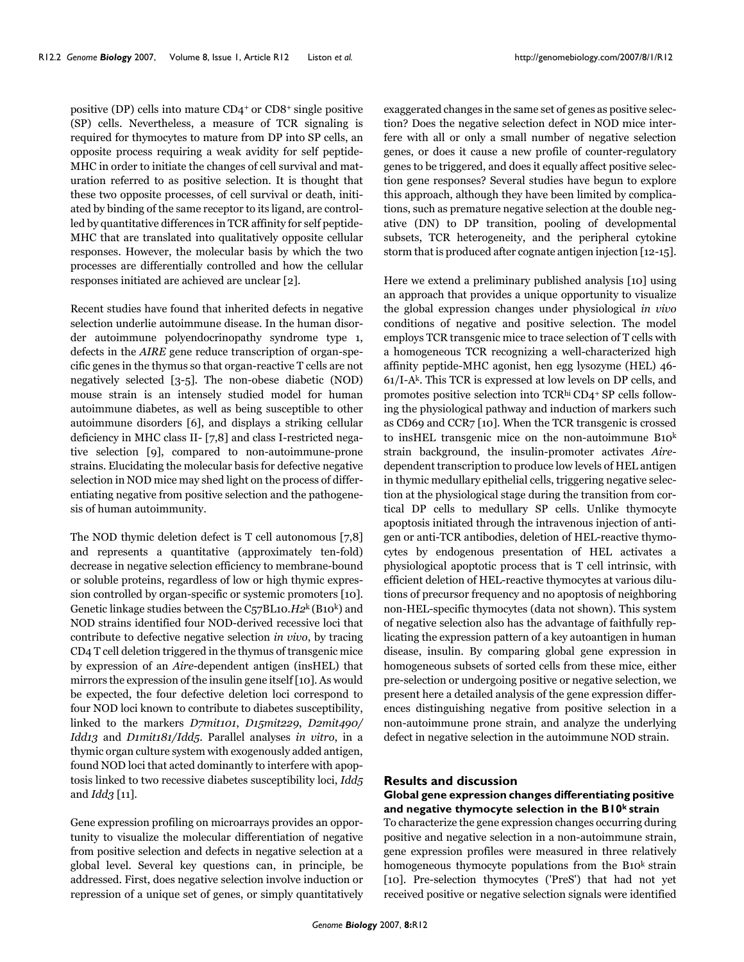positive (DP) cells into mature CD4+ or CD8+ single positive (SP) cells. Nevertheless, a measure of TCR signaling is required for thymocytes to mature from DP into SP cells, an opposite process requiring a weak avidity for self peptide-MHC in order to initiate the changes of cell survival and maturation referred to as positive selection. It is thought that these two opposite processes, of cell survival or death, initiated by binding of the same receptor to its ligand, are controlled by quantitative differences in TCR affinity for self peptide-MHC that are translated into qualitatively opposite cellular responses. However, the molecular basis by which the two processes are differentially controlled and how the cellular responses initiated are achieved are unclear [2].

Recent studies have found that inherited defects in negative selection underlie autoimmune disease. In the human disorder autoimmune polyendocrinopathy syndrome type 1, defects in the *AIRE* gene reduce transcription of organ-specific genes in the thymus so that organ-reactive T cells are not negatively selected [3-5]. The non-obese diabetic (NOD) mouse strain is an intensely studied model for human autoimmune diabetes, as well as being susceptible to other autoimmune disorders [6], and displays a striking cellular deficiency in MHC class II- [7,8] and class I-restricted negative selection [9], compared to non-autoimmune-prone strains. Elucidating the molecular basis for defective negative selection in NOD mice may shed light on the process of differentiating negative from positive selection and the pathogenesis of human autoimmunity.

The NOD thymic deletion defect is T cell autonomous [7,8] and represents a quantitative (approximately ten-fold) decrease in negative selection efficiency to membrane-bound or soluble proteins, regardless of low or high thymic expression controlled by organ-specific or systemic promoters [10]. Genetic linkage studies between the C57BL10.*H2*k (B10k) and NOD strains identified four NOD-derived recessive loci that contribute to defective negative selection *in vivo*, by tracing CD4 T cell deletion triggered in the thymus of transgenic mice by expression of an *Aire*-dependent antigen (insHEL) that mirrors the expression of the insulin gene itself [10]. As would be expected, the four defective deletion loci correspond to four NOD loci known to contribute to diabetes susceptibility, linked to the markers *D7mit101*, *D15mit229*, *D2mit490/ Idd13* and *D1mit181/Idd5*. Parallel analyses *in vitro*, in a thymic organ culture system with exogenously added antigen, found NOD loci that acted dominantly to interfere with apoptosis linked to two recessive diabetes susceptibility loci, *Idd5* and *Idd3* [11].

Gene expression profiling on microarrays provides an opportunity to visualize the molecular differentiation of negative from positive selection and defects in negative selection at a global level. Several key questions can, in principle, be addressed. First, does negative selection involve induction or repression of a unique set of genes, or simply quantitatively

exaggerated changes in the same set of genes as positive selection? Does the negative selection defect in NOD mice interfere with all or only a small number of negative selection genes, or does it cause a new profile of counter-regulatory genes to be triggered, and does it equally affect positive selection gene responses? Several studies have begun to explore this approach, although they have been limited by complications, such as premature negative selection at the double negative (DN) to DP transition, pooling of developmental subsets, TCR heterogeneity, and the peripheral cytokine storm that is produced after cognate antigen injection [12-15].

Here we extend a preliminary published analysis [10] using an approach that provides a unique opportunity to visualize the global expression changes under physiological *in vivo* conditions of negative and positive selection. The model employs TCR transgenic mice to trace selection of T cells with a homogeneous TCR recognizing a well-characterized high affinity peptide-MHC agonist, hen egg lysozyme (HEL) 46- 61/I-Ak. This TCR is expressed at low levels on DP cells, and promotes positive selection into TCRhi CD4+ SP cells following the physiological pathway and induction of markers such as CD69 and CCR7 [10]. When the TCR transgenic is crossed to insHEL transgenic mice on the non-autoimmune B10k strain background, the insulin-promoter activates *Aire*dependent transcription to produce low levels of HEL antigen in thymic medullary epithelial cells, triggering negative selection at the physiological stage during the transition from cortical DP cells to medullary SP cells. Unlike thymocyte apoptosis initiated through the intravenous injection of antigen or anti-TCR antibodies, deletion of HEL-reactive thymocytes by endogenous presentation of HEL activates a physiological apoptotic process that is T cell intrinsic, with efficient deletion of HEL-reactive thymocytes at various dilutions of precursor frequency and no apoptosis of neighboring non-HEL-specific thymocytes (data not shown). This system of negative selection also has the advantage of faithfully replicating the expression pattern of a key autoantigen in human disease, insulin. By comparing global gene expression in homogeneous subsets of sorted cells from these mice, either pre-selection or undergoing positive or negative selection, we present here a detailed analysis of the gene expression differences distinguishing negative from positive selection in a non-autoimmune prone strain, and analyze the underlying defect in negative selection in the autoimmune NOD strain.

# **Results and discussion**

# **Global gene expression changes differentiating positive and negative thymocyte selection in the B10k strain**

To characterize the gene expression changes occurring during positive and negative selection in a non-autoimmune strain, gene expression profiles were measured in three relatively homogeneous thymocyte populations from the  $B10<sup>k</sup>$  strain [10]. Pre-selection thymocytes ('PreS') that had not yet received positive or negative selection signals were identified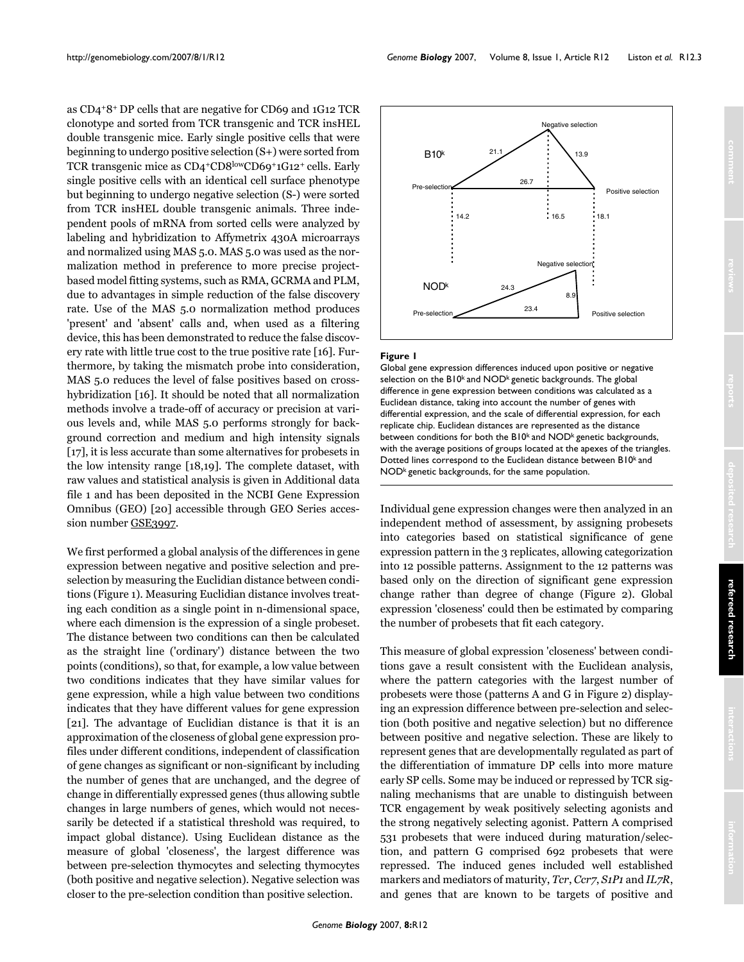as CD4+8+ DP cells that are negative for CD69 and 1G12 TCR clonotype and sorted from TCR transgenic and TCR insHEL double transgenic mice. Early single positive cells that were beginning to undergo positive selection (S+) were sorted from TCR transgenic mice as CD4+CD8lowCD69+1G12+ cells. Early single positive cells with an identical cell surface phenotype but beginning to undergo negative selection (S-) were sorted from TCR insHEL double transgenic animals. Three independent pools of mRNA from sorted cells were analyzed by labeling and hybridization to Affymetrix 430A microarrays and normalized using MAS 5.0. MAS 5.0 was used as the normalization method in preference to more precise projectbased model fitting systems, such as RMA, GCRMA and PLM, due to advantages in simple reduction of the false discovery rate. Use of the MAS 5.0 normalization method produces 'present' and 'absent' calls and, when used as a filtering device, this has been demonstrated to reduce the false discovery rate with little true cost to the true positive rate [16]. Furthermore, by taking the mismatch probe into consideration, MAS 5.0 reduces the level of false positives based on crosshybridization [16]. It should be noted that all normalization methods involve a trade-off of accuracy or precision at various levels and, while MAS 5.0 performs strongly for background correction and medium and high intensity signals [17], it is less accurate than some alternatives for probesets in the low intensity range [18,19]. The complete dataset, with raw values and statistical analysis is given in Additional data file 1 and has been deposited in the NCBI Gene Expression Omnibus (GEO) [20] accessible through GEO Series accession number [GSE3997.](http://www.ncbi.nih.gov/entrez/query.fcgi?db=Nucleotide&cmd=search&term=GSE3997)

We first performed a global analysis of the differences in gene expression between negative and positive selection and preselection by measuring the Euclidian distance between conditions (Figure 1). Measuring Euclidian distance involves treating each condition as a single point in n-dimensional space, where each dimension is the expression of a single probeset. The distance between two conditions can then be calculated as the straight line ('ordinary') distance between the two points (conditions), so that, for example, a low value between two conditions indicates that they have similar values for gene expression, while a high value between two conditions indicates that they have different values for gene expression [21]. The advantage of Euclidian distance is that it is an approximation of the closeness of global gene expression profiles under different conditions, independent of classification of gene changes as significant or non-significant by including the number of genes that are unchanged, and the degree of change in differentially expressed genes (thus allowing subtle changes in large numbers of genes, which would not necessarily be detected if a statistical threshold was required, to impact global distance). Using Euclidean distance as the measure of global 'closeness', the largest difference was between pre-selection thymocytes and selecting thymocytes (both positive and negative selection). Negative selection was closer to the pre-selection condition than positive selection.



# Global gene expression differences induced upon positive or negative selection on the B10k and NODk **Figure 1** genetic backgrounds

Global gene expression differences induced upon positive or negative selection on the B10k and NODk genetic backgrounds. The global difference in gene expression between conditions was calculated as a Euclidean distance, taking into account the number of genes with differential expression, and the scale of differential expression, for each replicate chip. Euclidean distances are represented as the distance between conditions for both the B10<sup>k</sup> and NOD<sup>k</sup> genetic backgrounds, with the average positions of groups located at the apexes of the triangles. Dotted lines correspond to the Euclidean distance between B10k and NOD<sup>k</sup> genetic backgrounds, for the same population.

Individual gene expression changes were then analyzed in an independent method of assessment, by assigning probesets into categories based on statistical significance of gene expression pattern in the 3 replicates, allowing categorization into 12 possible patterns. Assignment to the 12 patterns was based only on the direction of significant gene expression change rather than degree of change (Figure [2\)](#page-3-0). Global expression 'closeness' could then be estimated by comparing the number of probesets that fit each category.

This measure of global expression 'closeness' between conditions gave a result consistent with the Euclidean analysis, where the pattern categories with the largest number of probesets were those (patterns A and G in Figure [2\)](#page-3-0) displaying an expression difference between pre-selection and selection (both positive and negative selection) but no difference between positive and negative selection. These are likely to represent genes that are developmentally regulated as part of the differentiation of immature DP cells into more mature early SP cells. Some may be induced or repressed by TCR signaling mechanisms that are unable to distinguish between TCR engagement by weak positively selecting agonists and the strong negatively selecting agonist. Pattern A comprised 531 probesets that were induced during maturation/selection, and pattern G comprised 692 probesets that were repressed. The induced genes included well established markers and mediators of maturity, *Tcr*, *Ccr7*, *S1P1* and *IL7R*, and genes that are known to be targets of positive and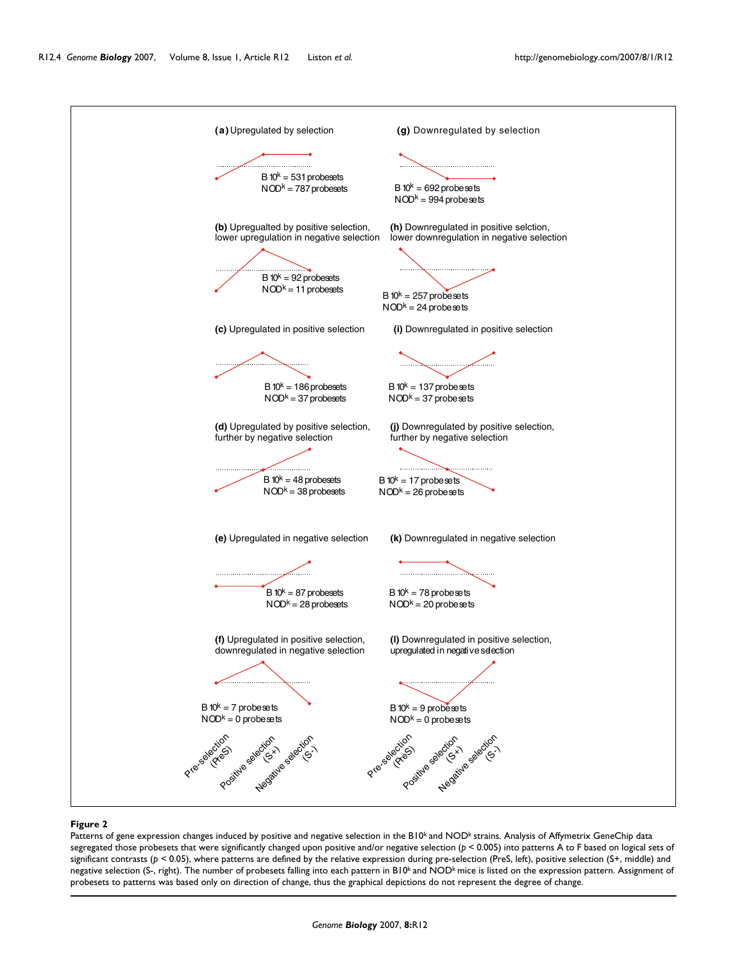<span id="page-3-0"></span>

#### Patterns of gene expression changes induced by positive and negative selection in the B10k and NODk **Figure 2** strains

Patterns of gene expression changes induced by positive and negative selection in the B10k and NODk strains. Analysis of Affymetrix GeneChip data segregated those probesets that were significantly changed upon positive and/or negative selection (*p* < 0.005) into patterns A to F based on logical sets of significant contrasts (*p* < 0.05), where patterns are defined by the relative expression during pre-selection (PreS, left), positive selection (S+, middle) and negative selection (S-, right). The number of probesets falling into each pattern in B10k and NODk mice is listed on the expression pattern. Assignment of probesets to patterns was based only on direction of change, thus the graphical depictions do not represent the degree of change.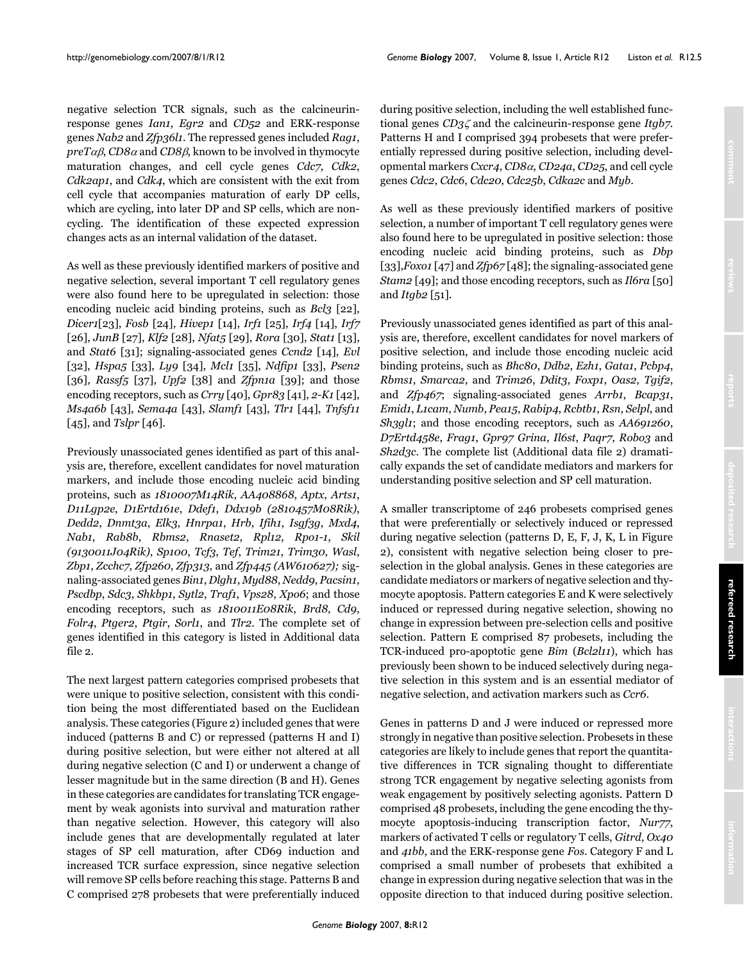negative selection TCR signals, such as the calcineurinresponse genes *Ian1*, *Egr2* and *CD52* and ERK-response genes *Nab2* and *Zfp36l1*. The repressed genes included *Rag1*,  $preT\alpha\beta$ , *CD8* $\alpha$  and *CD8* $\beta$ , known to be involved in thymocyte maturation changes, and cell cycle genes *Cdc7*, *Cdk2*, *Cdk2ap1*, and *Cdk4*, which are consistent with the exit from cell cycle that accompanies maturation of early DP cells, which are cycling, into later DP and SP cells, which are noncycling. The identification of these expected expression changes acts as an internal validation of the dataset.

As well as these previously identified markers of positive and negative selection, several important T cell regulatory genes were also found here to be upregulated in selection: those encoding nucleic acid binding proteins, such as *Bcl3* [22], *Dicer1*[23], *Fosb* [24], *Hivep1* [14], *Irf1* [25], *Irf4* [14], *Irf7* [26], *JunB* [27], *Klf2* [28], *Nfat5* [29], *Rora* [30], *Stat1* [\[13](#page-20-0)], and *Stat6* [31]; signaling-associated genes *Ccnd2* [14], *Evl* [32], *Hspa5* [33], *Ly9* [34], *Mcl1* [35], *Ndfip1* [33], *Psen2* [36], *Rassf5* [37], *Upf2* [38] and *Zfpn1a* [39]; and those encoding receptors, such as *Crry* [40], *Gpr83* [41], *2-K1* [42], *Ms4a6b* [\[43](#page-21-0)], *Sema4a* [[43\]](#page-21-0), *Slamf1* [\[43](#page-21-0)], *Tlr1* [44], *Tnfsf11* [45], and *Tslpr* [46].

Previously unassociated genes identified as part of this analysis are, therefore, excellent candidates for novel maturation markers, and include those encoding nucleic acid binding proteins, such as *1810007M14Rik*, *AA408868*, *Aptx*, *Arts1*, *D11Lgp2e*, *D1Ertd161e*, *Ddef1*, *Ddx19b (2810457M08Rik)*, *Dedd2*, *Dnmt3a*, *Elk3*, *Hnrpa1*, *Hrb*, *Ifih1*, *Isgf3g*, *Mxd4*, *Nab1*, *Rab8b*, *Rbms2*, *Rnaset2*, *Rpl12*, *Rpo1-1*, *Skil (9130011J04Rik)*, *Sp100*, *Tcf3*, *Tef*, *Trim21*, *Trim30*, *Wasl*, *Zbp1*, *Zcchc7*, *Zfp260*, *Zfp313*, and *Zfp445 (AW610627);* signaling-associated genes *Bin1*, *Dlgh1*, *Myd88*, *Nedd9*, *Pacsin1*, *Pscdbp*, *Sdc3*, *Shkbp1*, *Sytl2*, *Traf1*, *Vps28*, *Xpo6*; and those encoding receptors, such as *1810011E08Rik*, *Brd8*, *Cd9*, *Folr4*, *Ptger2*, *Ptgir*, *Sorl1*, and *Tlr2*. The complete set of genes identified in this category is listed in Additional data file 2.

The next largest pattern categories comprised probesets that were unique to positive selection, consistent with this condition being the most differentiated based on the Euclidean analysis. These categories (Figure [2\)](#page-3-0) included genes that were induced (patterns B and C) or repressed (patterns H and I) during positive selection, but were either not altered at all during negative selection (C and I) or underwent a change of lesser magnitude but in the same direction (B and H). Genes in these categories are candidates for translating TCR engagement by weak agonists into survival and maturation rather than negative selection. However, this category will also include genes that are developmentally regulated at later stages of SP cell maturation, after CD69 induction and increased TCR surface expression, since negative selection will remove SP cells before reaching this stage. Patterns B and C comprised 278 probesets that were preferentially induced

during positive selection, including the well established functional genes *CD3*ζ and the calcineurin-response gene *Itgb7*. Patterns H and I comprised 394 probesets that were preferentially repressed during positive selection, including developmental markers *Cxcr4*, *CD8*α, *CD24a*, *CD25*, and cell cycle genes *Cdc2*, *Cdc6*, *Cdc20*, *Cdc25b*, *Cdka2c* and *Myb*.

As well as these previously identified markers of positive selection, a number of important T cell regulatory genes were also found here to be upregulated in positive selection: those encoding nucleic acid binding proteins, such as *Dbp* [33],*Foxo1* [47] and *Zfp67* [48]; the signaling-associated gene *Stam2* [49]; and those encoding receptors, such as *Il6ra* [50] and *Itgb2* [51].

Previously unassociated genes identified as part of this analysis are, therefore, excellent candidates for novel markers of positive selection, and include those encoding nucleic acid binding proteins, such as *Bhc80*, *Ddb2*, *Ezh1*, *Gata1*, *Pcbp4*, *Rbms1*, *Smarca2*, and *Trim26*, *Ddit3*, *Foxp1*, *Oas2*, *Tgif2*, and *Zfp467*; signaling-associated genes *Arrb1*, *Bcap31*, *Emid1*, *L1cam*, *Numb*, *Pea15*, *Rabip4*, *Rcbtb1*, *Rsn*, *Selpl*, and *Sh3gl1*; and those encoding receptors, such as *AA691260*, *D7Ertd458e*, *Frag1*, *Gpr97 Grina*, *Il6st*, *Paqr7*, *Robo3* and *Sh2d3c*. The complete list (Additional data file 2) dramatically expands the set of candidate mediators and markers for understanding positive selection and SP cell maturation.

A smaller transcriptome of 246 probesets comprised genes that were preferentially or selectively induced or repressed during negative selection (patterns D, E, F, J, K, L in Figure [2](#page-3-0)), consistent with negative selection being closer to preselection in the global analysis. Genes in these categories are candidate mediators or markers of negative selection and thymocyte apoptosis. Pattern categories E and K were selectively induced or repressed during negative selection, showing no change in expression between pre-selection cells and positive selection. Pattern E comprised 87 probesets, including the TCR-induced pro-apoptotic gene *Bim* (*Bcl2l11*), which has previously been shown to be induced selectively during negative selection in this system and is an essential mediator of negative selection, and activation markers such as *Ccr6*.

Genes in patterns D and J were induced or repressed more strongly in negative than positive selection. Probesets in these categories are likely to include genes that report the quantitative differences in TCR signaling thought to differentiate strong TCR engagement by negative selecting agonists from weak engagement by positively selecting agonists. Pattern D comprised 48 probesets, including the gene encoding the thymocyte apoptosis-inducing transcription factor, *Nur77*, markers of activated T cells or regulatory T cells, *Gitrd*, *Ox40* and *41bb*, and the ERK-response gene *Fos*. Category F and L comprised a small number of probesets that exhibited a change in expression during negative selection that was in the opposite direction to that induced during positive selection.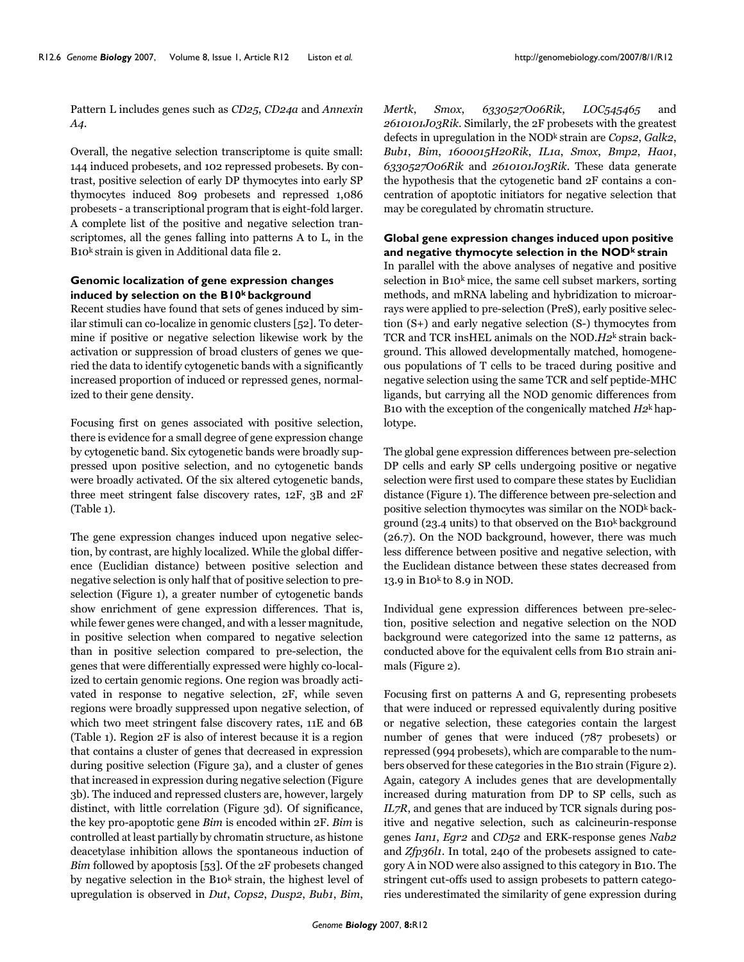Pattern L includes genes such as *CD25*, *CD24a* and *Annexin A4*.

Overall, the negative selection transcriptome is quite small: 144 induced probesets, and 102 repressed probesets. By contrast, positive selection of early DP thymocytes into early SP thymocytes induced 809 probesets and repressed 1,086 probesets - a transcriptional program that is eight-fold larger. A complete list of the positive and negative selection transcriptomes, all the genes falling into patterns A to L, in the B10k strain is given in Additional data file 2.

# **Genomic localization of gene expression changes induced by selection on the B10k background**

Recent studies have found that sets of genes induced by similar stimuli can co-localize in genomic clusters [52]. To determine if positive or negative selection likewise work by the activation or suppression of broad clusters of genes we queried the data to identify cytogenetic bands with a significantly increased proportion of induced or repressed genes, normalized to their gene density.

Focusing first on genes associated with positive selection, there is evidence for a small degree of gene expression change by cytogenetic band. Six cytogenetic bands were broadly suppressed upon positive selection, and no cytogenetic bands were broadly activated. Of the six altered cytogenetic bands, three meet stringent false discovery rates, 12F, 3B and 2F (Table 1).

The gene expression changes induced upon negative selection, by contrast, are highly localized. While the global difference (Euclidian distance) between positive selection and negative selection is only half that of positive selection to preselection (Figure 1), a greater number of cytogenetic bands show enrichment of gene expression differences. That is, while fewer genes were changed, and with a lesser magnitude, in positive selection when compared to negative selection than in positive selection compared to pre-selection, the genes that were differentially expressed were highly co-localized to certain genomic regions. One region was broadly activated in response to negative selection, 2F, while seven regions were broadly suppressed upon negative selection, of which two meet stringent false discovery rates, 11E and 6B (Table 1). Region 2F is also of interest because it is a region that contains a cluster of genes that decreased in expression during positive selection (Figure 3a), and a cluster of genes that increased in expression during negative selection (Figure 3b). The induced and repressed clusters are, however, largely distinct, with little correlation (Figure 3d). Of significance, the key pro-apoptotic gene *Bim* is encoded within 2F. *Bim* is controlled at least partially by chromatin structure, as histone deacetylase inhibition allows the spontaneous induction of *Bim* followed by apoptosis [53]. Of the 2F probesets changed by negative selection in the B10<sup>k</sup> strain, the highest level of upregulation is observed in *Dut*, *Cops2*, *Dusp2*, *Bub1*, *Bim*,

*Mertk*, *Smox*, *6330527O06Rik*, *LOC545465* and *2610101J03Rik*. Similarly, the 2F probesets with the greatest defects in upregulation in the NODk strain are *Cops2*, *Galk2*, *Bub1*, *Bim*, *1600015H20Rik*, *IL1a*, *Smox*, *Bmp2*, *Hao1*, *6330527O06Rik* and *2610101J03Rik*. These data generate the hypothesis that the cytogenetic band 2F contains a concentration of apoptotic initiators for negative selection that may be coregulated by chromatin structure.

# **Global gene expression changes induced upon positive and negative thymocyte selection in the NODk strain**

In parallel with the above analyses of negative and positive selection in  $B10<sup>k</sup>$  mice, the same cell subset markers, sorting methods, and mRNA labeling and hybridization to microarrays were applied to pre-selection (PreS), early positive selection (S+) and early negative selection (S-) thymocytes from TCR and TCR insHEL animals on the NOD.*H2*k strain background. This allowed developmentally matched, homogeneous populations of T cells to be traced during positive and negative selection using the same TCR and self peptide-MHC ligands, but carrying all the NOD genomic differences from B10 with the exception of the congenically matched *H2*k haplotype.

The global gene expression differences between pre-selection DP cells and early SP cells undergoing positive or negative selection were first used to compare these states by Euclidian distance (Figure 1). The difference between pre-selection and positive selection thymocytes was similar on the NODk background (23.4 units) to that observed on the B10k background (26.7). On the NOD background, however, there was much less difference between positive and negative selection, with the Euclidean distance between these states decreased from 13.9 in B10 $k$  to 8.9 in NOD.

Individual gene expression differences between pre-selection, positive selection and negative selection on the NOD background were categorized into the same 12 patterns, as conducted above for the equivalent cells from B10 strain animals (Figure [2](#page-3-0)).

Focusing first on patterns A and G, representing probesets that were induced or repressed equivalently during positive or negative selection, these categories contain the largest number of genes that were induced (787 probesets) or repressed (994 probesets), which are comparable to the numbers observed for these categories in the B10 strain (Figure [2\)](#page-3-0). Again, category A includes genes that are developmentally increased during maturation from DP to SP cells, such as *IL7R*, and genes that are induced by TCR signals during positive and negative selection, such as calcineurin-response genes *Ian1*, *Egr2* and *CD52* and ERK-response genes *Nab2* and *Zfp36l1*. In total, 240 of the probesets assigned to category A in NOD were also assigned to this category in B10. The stringent cut-offs used to assign probesets to pattern categories underestimated the similarity of gene expression during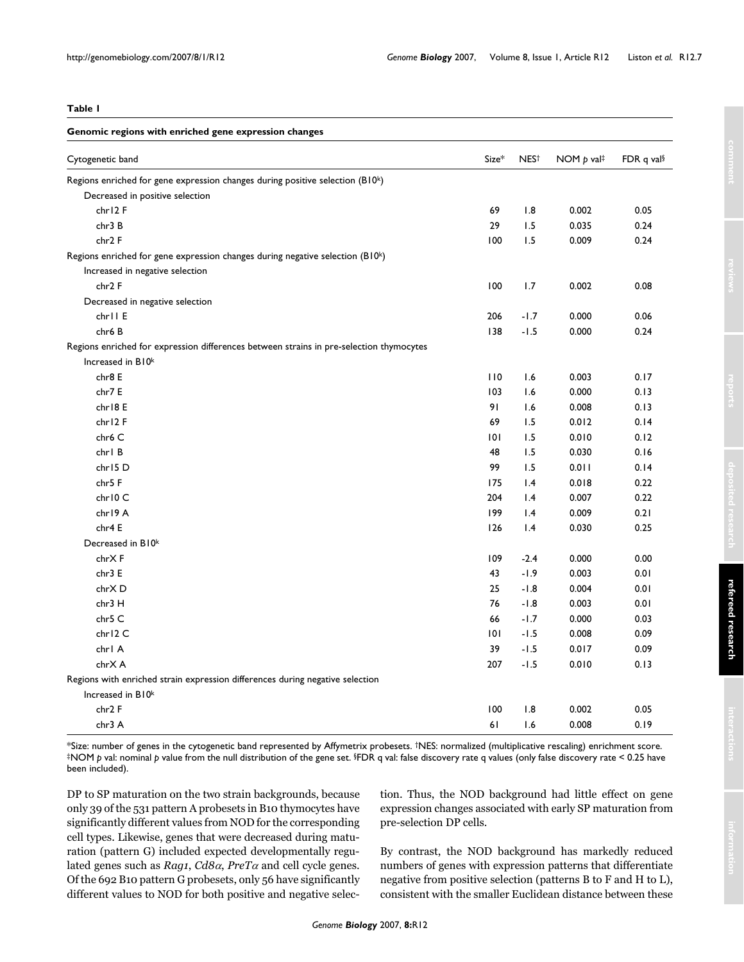| $\sim$<br>$\sim$ |  |
|------------------|--|
|------------------|--|

| Genomic regions with enriched gene expression changes                                   |       |                  |                          |                        |  |  |
|-----------------------------------------------------------------------------------------|-------|------------------|--------------------------|------------------------|--|--|
| Cytogenetic band                                                                        | Size* | NES <sup>+</sup> | NOM $p$ val <sup>‡</sup> | FDR q val <sup>§</sup> |  |  |
| Regions enriched for gene expression changes during positive selection (B10k)           |       |                  |                          |                        |  |  |
| Decreased in positive selection                                                         |       |                  |                          |                        |  |  |
| chr12F                                                                                  | 69    | 1.8              | 0.002                    | 0.05                   |  |  |
| chr3 B                                                                                  | 29    | 1.5              | 0.035                    | 0.24                   |  |  |
| chr2 F                                                                                  | 100   | 1.5              | 0.009                    | 0.24                   |  |  |
| Regions enriched for gene expression changes during negative selection $(B10k)$         |       |                  |                          |                        |  |  |
| Increased in negative selection                                                         |       |                  |                          |                        |  |  |
| chr2 F                                                                                  | 100   | 1.7              | 0.002                    | 0.08                   |  |  |
| Decreased in negative selection                                                         |       |                  |                          |                        |  |  |
| chr11 E                                                                                 | 206   | $-1.7$           | 0.000                    | 0.06                   |  |  |
| chr6 B                                                                                  | 138   | $-1.5$           | 0.000                    | 0.24                   |  |  |
| Regions enriched for expression differences between strains in pre-selection thymocytes |       |                  |                          |                        |  |  |
| Increased in B10 <sup>k</sup>                                                           |       |                  |                          |                        |  |  |
| chr8 E                                                                                  | 110   | 1.6              | 0.003                    | 0.17                   |  |  |
| chr7 E                                                                                  | 103   | 1.6              | 0.000                    | 0.13                   |  |  |
| chr18 E                                                                                 | 91    | 1.6              | 0.008                    | 0.13                   |  |  |
| chr12F                                                                                  | 69    | 1.5              | 0.012                    | 0.14                   |  |  |
| chr6 C                                                                                  | 101   | 1.5              | 0.010                    | 0.12                   |  |  |
| chr1 B                                                                                  | 48    | 1.5              | 0.030                    | 0.16                   |  |  |
| chr15 D                                                                                 | 99    | 1.5              | 0.011                    | 0.14                   |  |  |
| chr5 F                                                                                  | 175   | $\mathsf{I}$ .4  | 0.018                    | 0.22                   |  |  |
| chr10 C                                                                                 | 204   | $\mathsf{I}$ .4  | 0.007                    | 0.22                   |  |  |
| chr19 A                                                                                 | 199   | $\mathsf{I}$ .4  | 0.009                    | 0.21                   |  |  |
| chr4 E                                                                                  | 126   | 1.4              | 0.030                    | 0.25                   |  |  |
| Decreased in B10k                                                                       |       |                  |                          |                        |  |  |
| chrXF                                                                                   | 109   | $-2.4$           | 0.000                    | 0.00                   |  |  |
| chr3 E                                                                                  | 43    | $-1.9$           | 0.003                    | 0.01                   |  |  |
| chrXD                                                                                   | 25    | $-1.8$           | 0.004                    | 0.01                   |  |  |
| chr3 H                                                                                  | 76    | $-1.8$           | 0.003                    | 0.01                   |  |  |
| chr5 C                                                                                  | 66    | $-1.7$           | 0.000                    | 0.03                   |  |  |
| chr12 C                                                                                 | 101   | $-1.5$           | 0.008                    | 0.09                   |  |  |
| chrl A                                                                                  | 39    | $-1.5$           | 0.017                    | 0.09                   |  |  |
| chrX A                                                                                  | 207   | $-1.5$           | 0.010                    | 0.13                   |  |  |
| Regions with enriched strain expression differences during negative selection           |       |                  |                          |                        |  |  |
| Increased in B10k                                                                       |       |                  |                          |                        |  |  |
| chr2 F                                                                                  | 100   | 1.8              | 0.002                    | 0.05                   |  |  |
| chr3 A                                                                                  | 61    | 1.6              | 0.008                    | 0.19                   |  |  |

\*Size: number of genes in the cytogenetic band represented by Affymetrix probesets. †NES: normalized (multiplicative rescaling) enrichment score. ‡NOM *p* val: nominal *p* value from the null distribution of the gene set. §FDR q val: false discovery rate q values (only false discovery rate < 0.25 have been included).

DP to SP maturation on the two strain backgrounds, because only 39 of the 531 pattern A probesets in B10 thymocytes have significantly different values from NOD for the corresponding cell types. Likewise, genes that were decreased during maturation (pattern G) included expected developmentally regulated genes such as *Rag1*, *Cd8*α, *PreT*<sup>α</sup> and cell cycle genes. Of the 692 B10 pattern G probesets, only 56 have significantly different values to NOD for both positive and negative selection. Thus, the NOD background had little effect on gene expression changes associated with early SP maturation from pre-selection DP cells.

By contrast, the NOD background has markedly reduced numbers of genes with expression patterns that differentiate negative from positive selection (patterns B to F and H to L), consistent with the smaller Euclidean distance between these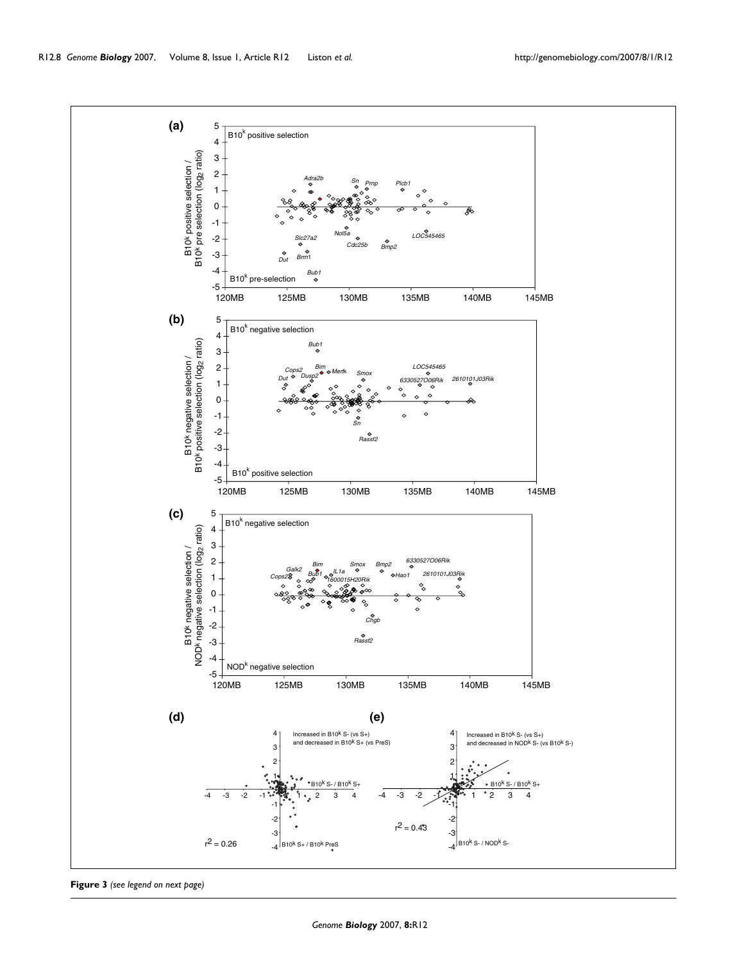

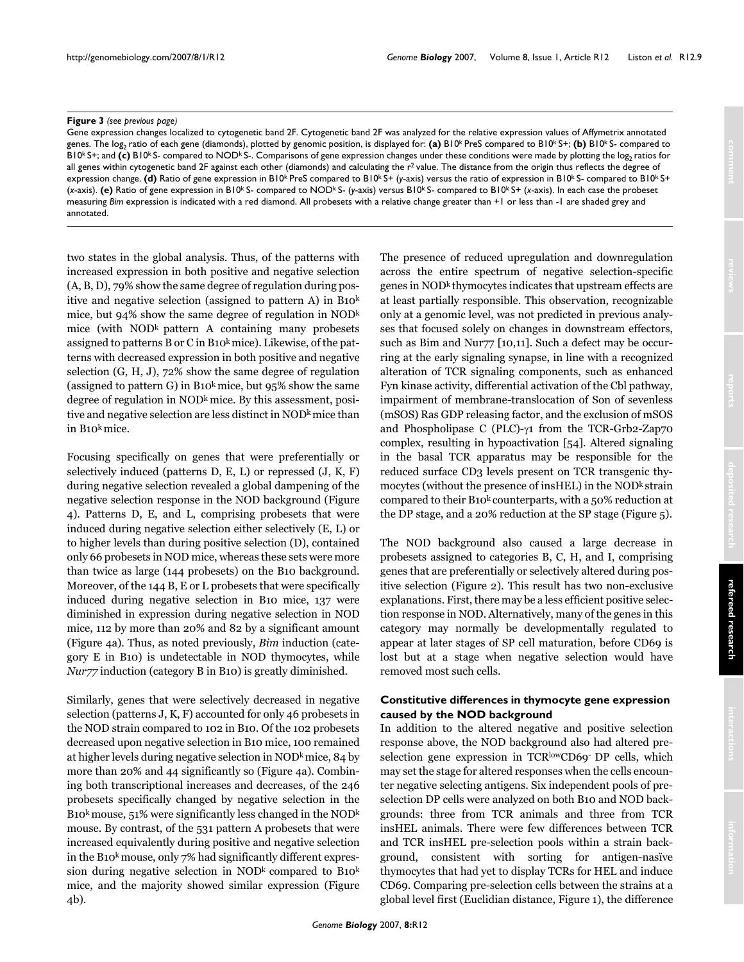### **Figure 3** (see previous page)

Gene expression changes localized to cytogenetic band 2F. Cytogenetic band 2F was analyzed for the relative expression values of Affymetrix annotated genes. The log<sub>2</sub> ratio of each gene (diamonds), plotted by genomic position, is displayed for: (a) B10<sup>k</sup> PreS compared to B10<sup>k</sup> S+; (b) B10<sup>k</sup> S- compared to B10<sup>k</sup> S+; and (c) B10<sup>k</sup> S- compared to NOD<sup>k</sup> S-. Comparisons of gene expression changes under these conditions were made by plotting the log<sub>2</sub> ratios for all genes within cytogenetic band 2F against each other (diamonds) and calculating the r<sup>2</sup> value. The distance from the origin thus reflects the degree of expression change. **(d)** Ratio of gene expression in B10<sup>k</sup> PreS compared to B10<sup>k</sup> S+ (*y*-axis) versus the ratio of expression in B10<sup>k</sup> S- compared to B10<sup>k</sup> S+ (*x*-axis). **(e)** Ratio of gene expression in B10k S- compared to NODk S- (*y*-axis) versus B10k S- compared to B10k S+ (*x*-axis). In each case the probeset measuring *Bim* expression is indicated with a red diamond. All probesets with a relative change greater than +1 or less than -1 are shaded grey and annotated.

two states in the global analysis. Thus, of the patterns with increased expression in both positive and negative selection (A, B, D), 79% show the same degree of regulation during positive and negative selection (assigned to pattern A) in B10k mice, but 94% show the same degree of regulation in NODk mice (with NODk pattern A containing many probesets assigned to patterns B or C in B10k mice). Likewise, of the patterns with decreased expression in both positive and negative selection (G, H, J), 72% show the same degree of regulation (assigned to pattern G) in B10 $k$  mice, but 95% show the same degree of regulation in NOD<sup>k</sup> mice. By this assessment, positive and negative selection are less distinct in NOD<sup>k</sup> mice than in B10k mice.

Focusing specifically on genes that were preferentially or selectively induced (patterns D, E, L) or repressed (J, K, F) during negative selection revealed a global dampening of the negative selection response in the NOD background (Figure 4). Patterns D, E, and L, comprising probesets that were induced during negative selection either selectively (E, L) or to higher levels than during positive selection (D), contained only 66 probesets in NOD mice, whereas these sets were more than twice as large (144 probesets) on the B10 background. Moreover, of the 144 B, E or L probesets that were specifically induced during negative selection in B10 mice, 137 were diminished in expression during negative selection in NOD mice, 112 by more than 20% and 82 by a significant amount (Figure 4a). Thus, as noted previously, *Bim* induction (category E in B10) is undetectable in NOD thymocytes, while *Nur77* induction (category B in B10) is greatly diminished.

Similarly, genes that were selectively decreased in negative selection (patterns J, K, F) accounted for only 46 probesets in the NOD strain compared to 102 in B10. Of the 102 probesets decreased upon negative selection in B10 mice, 100 remained at higher levels during negative selection in NODk mice, 84 by more than 20% and 44 significantly so (Figure 4a). Combining both transcriptional increases and decreases, of the 246 probesets specifically changed by negative selection in the B10<sup>k</sup> mouse, 51% were significantly less changed in the NOD<sup>k</sup> mouse. By contrast, of the 531 pattern A probesets that were increased equivalently during positive and negative selection in the B10 $k$  mouse, only 7% had significantly different expression during negative selection in NOD<sub>k</sub> compared to  $B10<sup>k</sup>$ mice, and the majority showed similar expression (Figure 4b).

The presence of reduced upregulation and downregulation across the entire spectrum of negative selection-specific genes in NODk thymocytes indicates that upstream effects are at least partially responsible. This observation, recognizable only at a genomic level, was not predicted in previous analyses that focused solely on changes in downstream effectors, such as Bim and Nur77 [10,11]. Such a defect may be occurring at the early signaling synapse, in line with a recognized alteration of TCR signaling components, such as enhanced Fyn kinase activity, differential activation of the Cbl pathway, impairment of membrane-translocation of Son of sevenless (mSOS) Ras GDP releasing factor, and the exclusion of mSOS and Phospholipase C (PLC)-γ1 from the TCR-Grb2-Zap70 complex, resulting in hypoactivation [54]. Altered signaling in the basal TCR apparatus may be responsible for the reduced surface CD3 levels present on TCR transgenic thymocytes (without the presence of insHEL) in the NOD<sup>k</sup> strain compared to their B10k counterparts, with a 50% reduction at the DP stage, and a 20% reduction at the SP stage (Figure 5).

The NOD background also caused a large decrease in probesets assigned to categories B, C, H, and I, comprising genes that are preferentially or selectively altered during positive selection (Figure [2](#page-3-0)). This result has two non-exclusive explanations. First, there may be a less efficient positive selection response in NOD. Alternatively, many of the genes in this category may normally be developmentally regulated to appear at later stages of SP cell maturation, before CD69 is lost but at a stage when negative selection would have removed most such cells.

# **Constitutive differences in thymocyte gene expression caused by the NOD background**

In addition to the altered negative and positive selection response above, the NOD background also had altered preselection gene expression in TCRlowCD69 DP cells, which may set the stage for altered responses when the cells encounter negative selecting antigens. Six independent pools of preselection DP cells were analyzed on both B10 and NOD backgrounds: three from TCR animals and three from TCR insHEL animals. There were few differences between TCR and TCR insHEL pre-selection pools within a strain background, consistent with sorting for antigen-nasïve thymocytes that had yet to display TCRs for HEL and induce CD69. Comparing pre-selection cells between the strains at a global level first (Euclidian distance, Figure 1), the difference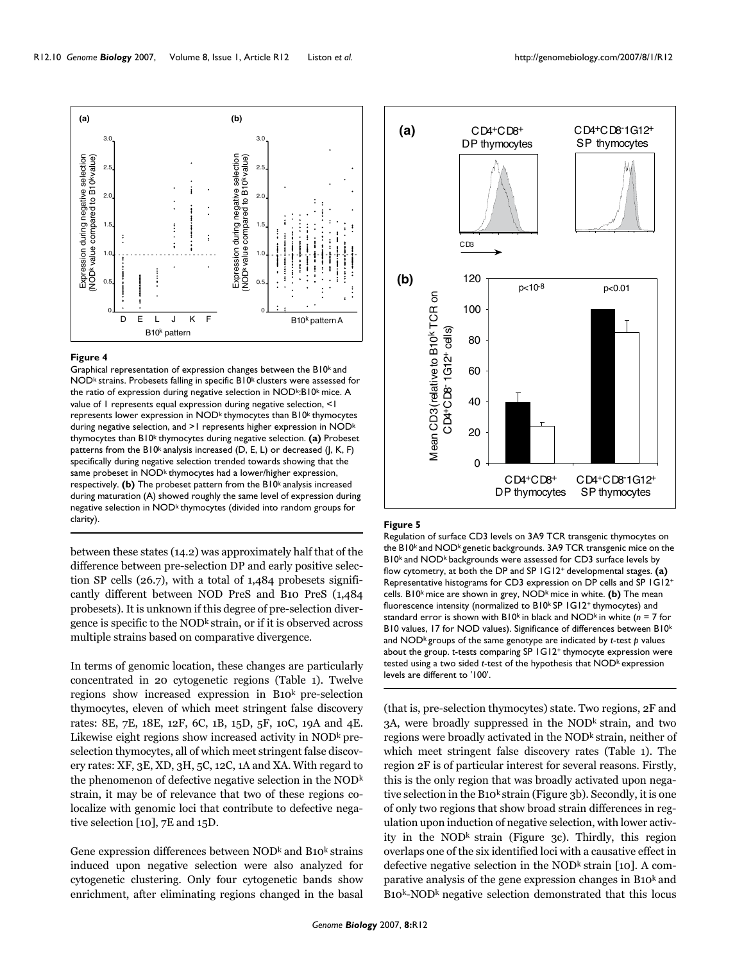

### Figure 4

Graphical representation of expression changes between the B10<sup>k</sup> and NOD<sup>k</sup> strains. Probesets falling in specific B10<sup>k</sup> clusters were assessed for the ratio of expression during negative selection in NODk:B10k mice. A value of 1 represents equal expression during negative selection, <1 represents lower expression in NOD<sup>k</sup> thymocytes than B10<sup>k</sup> thymocytes during negative selection, and >1 represents higher expression in NOD<sup>k</sup> thymocytes than B10k thymocytes during negative selection. **(a)** Probeset patterns from the B10<sup>k</sup> analysis increased (D, E, L) or decreased (J, K, F) specifically during negative selection trended towards showing that the same probeset in NOD<sup>k</sup> thymocytes had a lower/higher expression, respectively. (b) The probeset pattern from the B10<sup>k</sup> analysis increased during maturation (A) showed roughly the same level of expression during negative selection in NOD<sup>k</sup> thymocytes (divided into random groups for clarity).

between these states (14.2) was approximately half that of the difference between pre-selection DP and early positive selection SP cells (26.7), with a total of 1,484 probesets significantly different between NOD PreS and B10 PreS (1,484 probesets). It is unknown if this degree of pre-selection divergence is specific to the NOD<sup>k</sup> strain, or if it is observed across multiple strains based on comparative divergence.

In terms of genomic location, these changes are particularly concentrated in 20 cytogenetic regions (Table 1). Twelve regions show increased expression in B10k pre-selection thymocytes, eleven of which meet stringent false discovery rates: 8E, 7E, 18E, 12F, 6C, 1B, 15D, 5F, 10C, 19A and 4E. Likewise eight regions show increased activity in  $NOD<sup>k</sup>$  preselection thymocytes, all of which meet stringent false discovery rates: XF, 3E, XD, 3H, 5C, 12C, 1A and XA. With regard to the phenomenon of defective negative selection in the NODk strain, it may be of relevance that two of these regions colocalize with genomic loci that contribute to defective negative selection [10], 7E and 15D.

Gene expression differences between  $NOD<sup>k</sup>$  and  $Bo<sup>k</sup>$  strains induced upon negative selection were also analyzed for cytogenetic clustering. Only four cytogenetic bands show enrichment, after eliminating regions changed in the basal



#### Figure 5

Regulation of surface CD3 levels on 3A9 TCR transgenic thymocytes on the B10k and NODk genetic backgrounds. 3A9 TCR transgenic mice on the B10k and NODk backgrounds were assessed for CD3 surface levels by flow cytometry, at both the DP and SP 1G12+ developmental stages. **(a)**  Representative histograms for CD3 expression on DP cells and SP 1G12+ cells. B10k mice are shown in grey, NODk mice in white. **(b)** The mean fluorescence intensity (normalized to  $B10<sup>k</sup>$  SP  $1$  G12<sup>+</sup> thymocytes) and standard error is shown with B10k in black and NODk in white (*n* = 7 for B10 values, 17 for NOD values). Significance of differences between B10<sup>k</sup> and NOD<sup>k</sup> groups of the same genotype are indicated by *t*-test *p* values about the group. *t*-tests comparing SP 1G12+ thymocyte expression were tested using a two sided *t*-test of the hypothesis that NOD<sup>k</sup> expression levels are different to '100'.

(that is, pre-selection thymocytes) state. Two regions, 2F and 3A, were broadly suppressed in the NOD<sup>k</sup> strain, and two regions were broadly activated in the NOD<sup>k</sup> strain, neither of which meet stringent false discovery rates (Table 1). The region 2F is of particular interest for several reasons. Firstly, this is the only region that was broadly activated upon negative selection in the B10k strain (Figure 3b). Secondly, it is one of only two regions that show broad strain differences in regulation upon induction of negative selection, with lower activity in the NOD<sup>k</sup> strain (Figure 3c). Thirdly, this region overlaps one of the six identified loci with a causative effect in defective negative selection in the NOD $^k$  strain [10]. A comparative analysis of the gene expression changes in  $B_10^k$  and B10k-NODk negative selection demonstrated that this locus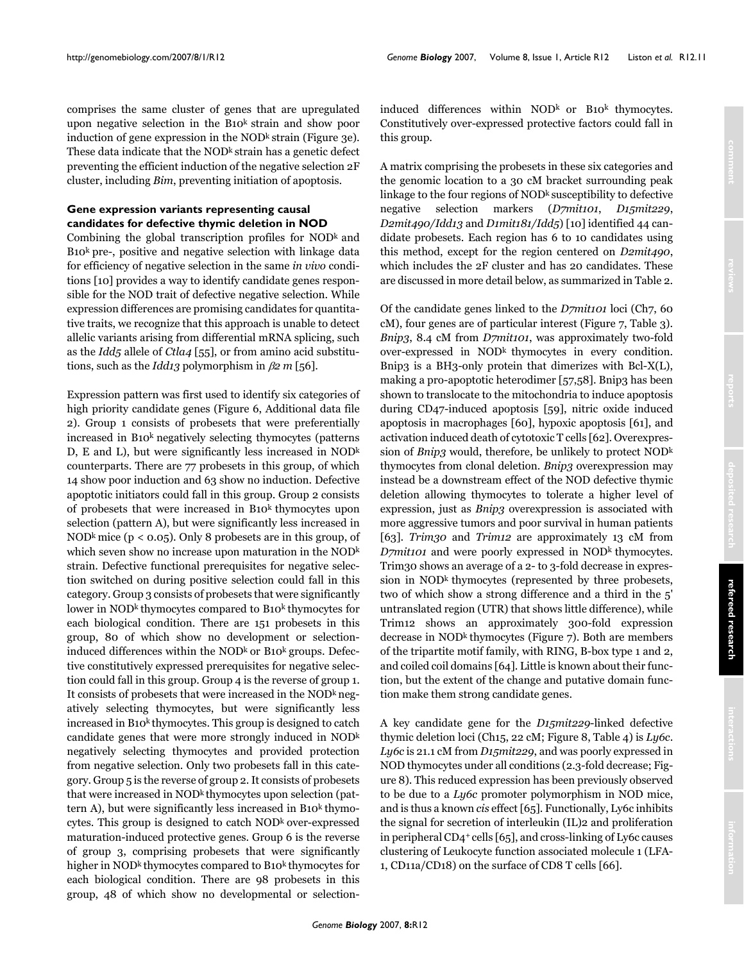comprises the same cluster of genes that are upregulated upon negative selection in the B10<sup>k</sup> strain and show poor induction of gene expression in the  $NOD<sup>k</sup>$  strain (Figure 3e). These data indicate that the  $NOD<sup>k</sup>$  strain has a genetic defect preventing the efficient induction of the negative selection 2F cluster, including *Bim*, preventing initiation of apoptosis.

# **Gene expression variants representing causal candidates for defective thymic deletion in NOD**

Combining the global transcription profiles for  $NOD<sup>k</sup>$  and  $B10<sup>k</sup>$  pre-, positive and negative selection with linkage data for efficiency of negative selection in the same *in vivo* conditions [10] provides a way to identify candidate genes responsible for the NOD trait of defective negative selection. While expression differences are promising candidates for quantitative traits, we recognize that this approach is unable to detect allelic variants arising from differential mRNA splicing, such as the *Idd5* allele of *Ctla4* [55], or from amino acid substitutions, such as the *Idd13* polymorphism in β*2 m* [56].

Expression pattern was first used to identify six categories of high priority candidate genes (Figure [6](#page-11-0), Additional data file 2). Group 1 consists of probesets that were preferentially increased in B10k negatively selecting thymocytes (patterns D, E and L), but were significantly less increased in NODk counterparts. There are 77 probesets in this group, of which 14 show poor induction and 63 show no induction. Defective apoptotic initiators could fall in this group. Group 2 consists of probesets that were increased in B10k thymocytes upon selection (pattern A), but were significantly less increased in NOD<sup>k</sup> mice ( $p < 0.05$ ). Only 8 probesets are in this group, of which seven show no increase upon maturation in the NOD<sup>k</sup> strain. Defective functional prerequisites for negative selection switched on during positive selection could fall in this category. Group 3 consists of probesets that were significantly lower in NOD<sup>k</sup> thymocytes compared to B10<sup>k</sup> thymocytes for each biological condition. There are 151 probesets in this group, 80 of which show no development or selectioninduced differences within the NOD $k$  or B10 $k$  groups. Defective constitutively expressed prerequisites for negative selection could fall in this group. Group 4 is the reverse of group 1. It consists of probesets that were increased in the NOD $k$  negatively selecting thymocytes, but were significantly less increased in B10<sup>k</sup> thymocytes. This group is designed to catch candidate genes that were more strongly induced in NODk negatively selecting thymocytes and provided protection from negative selection. Only two probesets fall in this category. Group 5 is the reverse of group 2. It consists of probesets that were increased in NOD<sup>k</sup> thymocytes upon selection (pattern A), but were significantly less increased in B10k thymocytes. This group is designed to catch  $NOD<sup>k</sup>$  over-expressed maturation-induced protective genes. Group 6 is the reverse of group 3, comprising probesets that were significantly higher in NOD<sup>k</sup> thymocytes compared to B10<sup>k</sup> thymocytes for each biological condition. There are 98 probesets in this group, 48 of which show no developmental or selectioninduced differences within  $NOD<sup>k</sup>$  or B10<sup>k</sup> thymocytes. Constitutively over-expressed protective factors could fall in this group.

A matrix comprising the probesets in these six categories and the genomic location to a 30 cM bracket surrounding peak linkage to the four regions of NOD<sup>k</sup> susceptibility to defective negative selection markers (*D7mit101*, *D15mit229*, *D2mit490/Idd13* and *D1mit181/Idd5*) [10] identified 44 candidate probesets. Each region has 6 to 10 candidates using this method, except for the region centered on *D2mit490*, which includes the 2F cluster and has 20 candidates. These are discussed in more detail below, as summarized in Table [2.](#page-12-0)

Of the candidate genes linked to the *D7mit101* loci (Ch7, 60 cM), four genes are of particular interest (Figure 7, Table 3). *Bnip3*, 8.4 cM from *D7mit101*, was approximately two-fold over-expressed in NODk thymocytes in every condition. Bnip3 is a BH3-only protein that dimerizes with Bcl-X(L), making a pro-apoptotic heterodimer [57,58]. Bnip3 has been shown to translocate to the mitochondria to induce apoptosis during CD47-induced apoptosis [59], nitric oxide induced apoptosis in macrophages [60], hypoxic apoptosis [61], and activation induced death of cytotoxic T cells [62]. Overexpression of *Bnip3* would, therefore, be unlikely to protect NODk thymocytes from clonal deletion. *Bnip3* overexpression may instead be a downstream effect of the NOD defective thymic deletion allowing thymocytes to tolerate a higher level of expression, just as *Bnip3* overexpression is associated with more aggressive tumors and poor survival in human patients [63]. *Trim30* and *Trim12* are approximately 13 cM from *D7mit101* and were poorly expressed in NOD<sup>k</sup> thymocytes. Trim30 shows an average of a 2- to 3-fold decrease in expression in NOD<sup>k</sup> thymocytes (represented by three probesets, two of which show a strong difference and a third in the 5' untranslated region (UTR) that shows little difference), while Trim12 shows an approximately 300-fold expression decrease in NOD<sup>k</sup> thymocytes (Figure 7). Both are members of the tripartite motif family, with RING, B-box type 1 and 2, and coiled coil domains [64]. Little is known about their function, but the extent of the change and putative domain function make them strong candidate genes.

A key candidate gene for the *D15mit229*-linked defective thymic deletion loci (Ch15, 22 cM; Figure 8, Table [4\)](#page-15-0) is *Ly6c*. *Ly6c* is 21.1 cM from *D15mit229*, and was poorly expressed in NOD thymocytes under all conditions (2.3-fold decrease; Figure 8). This reduced expression has been previously observed to be due to a *Ly6c* promoter polymorphism in NOD mice, and is thus a known *cis* effect [65]. Functionally, Ly6c inhibits the signal for secretion of interleukin (IL)2 and proliferation in peripheral CD4+ cells [65], and cross-linking of Ly6c causes clustering of Leukocyte function associated molecule 1 (LFA-1, CD11a/CD18) on the surface of CD8 T cells [66].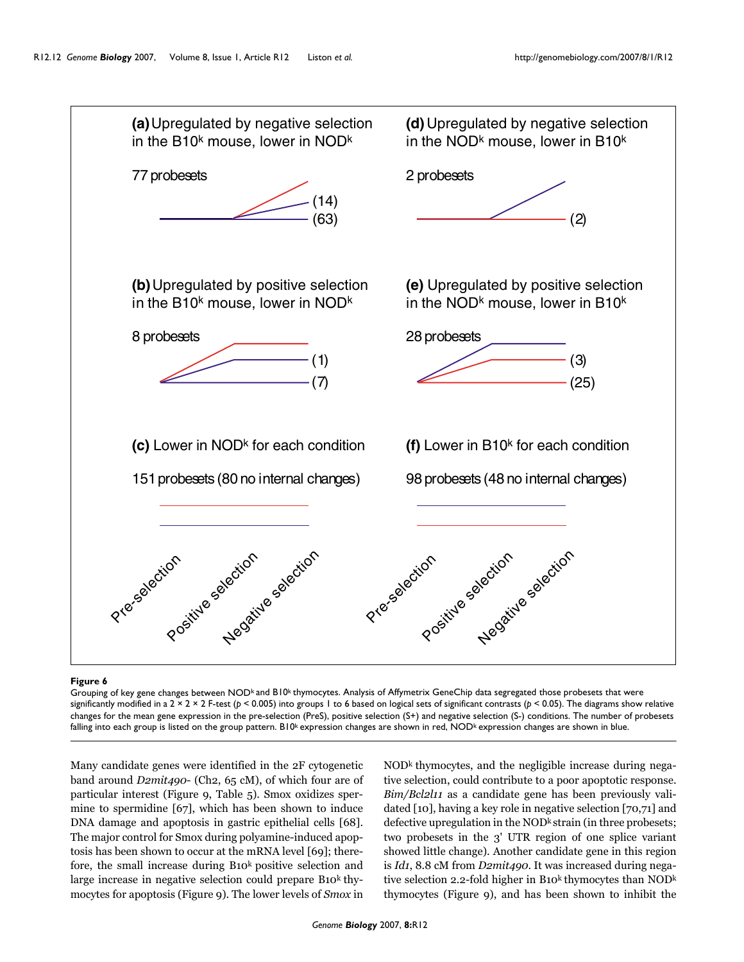<span id="page-11-0"></span>

#### Figure 6

Grouping of key gene changes between NOD<sup>k</sup> and B10<sup>k</sup> thymocytes. Analysis of Affymetrix GeneChip data segregated those probesets that were significantly modified in a 2 × 2 × 2 F-test (*p* < 0.005) into groups 1 to 6 based on logical sets of significant contrasts (*p* < 0.05). The diagrams show relative changes for the mean gene expression in the pre-selection (PreS), positive selection (S+) and negative selection (S-) conditions. The number of probesets falling into each group is listed on the group pattern. B10<sup>k</sup> expression changes are shown in red,  $NOD<sup>k</sup>$  expression changes are shown in blue.

Many candidate genes were identified in the 2F cytogenetic band around *D2mit490*- (Ch2, 65 cM), of which four are of particular interest (Figure [9,](#page-16-0) Table [5](#page-17-0)). Smox oxidizes spermine to spermidine [67], which has been shown to induce DNA damage and apoptosis in gastric epithelial cells [68]. The major control for Smox during polyamine-induced apoptosis has been shown to occur at the mRNA level [69]; therefore, the small increase during B10k positive selection and large increase in negative selection could prepare  $B10<sup>k</sup>$  thymocytes for apoptosis (Figure [9\)](#page-16-0). The lower levels of *Smox* in NODk thymocytes, and the negligible increase during negative selection, could contribute to a poor apoptotic response. *Bim/Bcl2l11* as a candidate gene has been previously validated [10], having a key role in negative selection [70,71] and defective upregulation in the  $\text{NOD}^k$  strain (in three probesets; two probesets in the 3' UTR region of one splice variant showed little change). Another candidate gene in this region is *Id1*, 8.8 cM from *D2mit490*. It was increased during negative selection 2.2-fold higher in B10 $^k$  thymocytes than NOD $^k$ thymocytes (Figure [9](#page-16-0)), and has been shown to inhibit the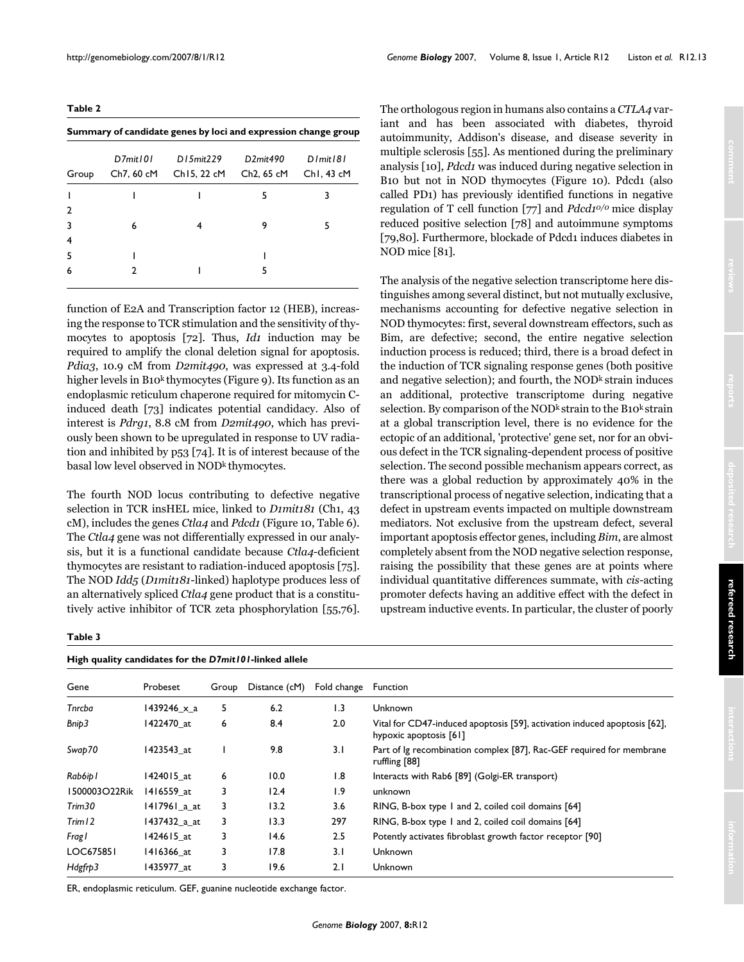<span id="page-12-0"></span>**Table 2**

| Summary of candidate genes by loci and expression change group |            |             |                         |                        |  |  |  |
|----------------------------------------------------------------|------------|-------------|-------------------------|------------------------|--|--|--|
|                                                                | D7mit101   | D15mit229   | D2mit490                | $D$ <i>l</i> mit $181$ |  |  |  |
| Group                                                          | Ch7, 60 cM | Ch15, 22 cM | Ch <sub>2</sub> , 65 cM | ChI, 43 cM             |  |  |  |
|                                                                |            |             | 5                       | 3                      |  |  |  |
| 2                                                              |            |             |                         |                        |  |  |  |
|                                                                | 6          |             | 9                       | 5                      |  |  |  |
| 4                                                              |            |             |                         |                        |  |  |  |
| 5                                                              |            |             |                         |                        |  |  |  |
| 6                                                              |            |             | 5                       |                        |  |  |  |
|                                                                |            |             |                         |                        |  |  |  |

function of E2A and Transcription factor 12 (HEB), increasing the response to TCR stimulation and the sensitivity of thymocytes to apoptosis [72]. Thus, *Id1* induction may be required to amplify the clonal deletion signal for apoptosis. *Pdia3*, 10.9 cM from *D2mit490*, was expressed at 3.4-fold higher levels in B10<sup>k</sup> thymocytes (Figure [9](#page-16-0)). Its function as an endoplasmic reticulum chaperone required for mitomycin Cinduced death [73] indicates potential candidacy. Also of interest is *Pdrg1*, 8.8 cM from *D2mit490*, which has previously been shown to be upregulated in response to UV radiation and inhibited by p53 [74]. It is of interest because of the basal low level observed in NOD<sup>k</sup> thymocytes.

The fourth NOD locus contributing to defective negative selection in TCR insHEL mice, linked to *D1mit181* (Ch1, 43 cM), includes the genes *Ctla4* and *Pdcd1* (Figure [10,](#page-18-0) Table [6](#page-19-0)). The *Ctla4* gene was not differentially expressed in our analysis, but it is a functional candidate because *Ctla4*-deficient thymocytes are resistant to radiation-induced apoptosis [75]. The NOD *Idd5* (*D1mit181*-linked) haplotype produces less of an alternatively spliced *Ctla4* gene product that is a constitutively active inhibitor of TCR zeta phosphorylation [55,76].

#### **Table 3**

| High quality candidates for the D7mit101-linked allele |                    |       |               |             |                                                                                                     |
|--------------------------------------------------------|--------------------|-------|---------------|-------------|-----------------------------------------------------------------------------------------------------|
| Gene                                                   | Probeset           | Group | Distance (cM) | Fold change | <b>Function</b>                                                                                     |
| Tnrcba                                                 | $1439246 \times a$ | 5     | 6.2           | 1.3         | <b>Unknown</b>                                                                                      |
| Bnip3                                                  | 1422470 at         | 6     | 8.4           | 2.0         | Vital for CD47-induced apoptosis [59], activation induced apoptosis [62],<br>hypoxic apoptosis [61] |
| Swap70                                                 | 1423543 at         |       | 9.8           | 3.1         | Part of Ig recombination complex [87], Rac-GEF required for membrane<br>ruffling [88]               |
| Rab6ip I                                               | 1424015 at         | 6     | 10.0          | 1.8         | Interacts with Rab6 [89] (Golgi-ER transport)                                                       |
| 1500003O22Rik                                          | 1416559 at         | 3     | 12.4          | 1.9         | unknown                                                                                             |
| Trim <sub>30</sub>                                     | 1417961_a_at       | 3     | 13.2          | 3.6         | RING, B-box type 1 and 2, coiled coil domains [64]                                                  |
| $T$ rim 12                                             | 1437432_a_at       | 3     | 13.3          | 297         | RING, B-box type 1 and 2, coiled coil domains [64]                                                  |
| Fragl                                                  | 1424615 at         | 3     | 14.6          | 2.5         | Potently activates fibroblast growth factor receptor [90]                                           |
| LOC675851                                              | 1416366 at         | 3     | 17.8          | 3.1         | <b>Unknown</b>                                                                                      |
| Hdgfrp3                                                | 1435977 at         | 3     | 19.6          | 2.1         | <b>Unknown</b>                                                                                      |

ER, endoplasmic reticulum. GEF, guanine nucleotide exchange factor.

The orthologous region in humans also contains a *CTLA4* variant and has been associated with diabetes, thyroid autoimmunity, Addison's disease, and disease severity in multiple sclerosis [55]. As mentioned during the preliminary analysis [10], *Pdcd1* was induced during negative selection in B10 but not in NOD thymocytes (Figure [10\)](#page-18-0). Pdcd1 (also called PD1) has previously identified functions in negative regulation of T cell function [77] and *Pdcd10/0* mice display reduced positive selection [78] and autoimmune symptoms [79,80]. Furthermore, blockade of Pdcd1 induces diabetes in NOD mice [81].

The analysis of the negative selection transcriptome here distinguishes among several distinct, but not mutually exclusive, mechanisms accounting for defective negative selection in NOD thymocytes: first, several downstream effectors, such as Bim, are defective; second, the entire negative selection induction process is reduced; third, there is a broad defect in the induction of TCR signaling response genes (both positive and negative selection); and fourth, the NOD<sup>k</sup> strain induces an additional, protective transcriptome during negative selection. By comparison of the NOD<sup>k</sup> strain to the B10<sup>k</sup> strain at a global transcription level, there is no evidence for the ectopic of an additional, 'protective' gene set, nor for an obvious defect in the TCR signaling-dependent process of positive selection. The second possible mechanism appears correct, as there was a global reduction by approximately 40% in the transcriptional process of negative selection, indicating that a defect in upstream events impacted on multiple downstream mediators. Not exclusive from the upstream defect, several important apoptosis effector genes, including *Bim*, are almost completely absent from the NOD negative selection response, raising the possibility that these genes are at points where individual quantitative differences summate, with *cis*-acting promoter defects having an additive effect with the defect in upstream inductive events. In particular, the cluster of poorly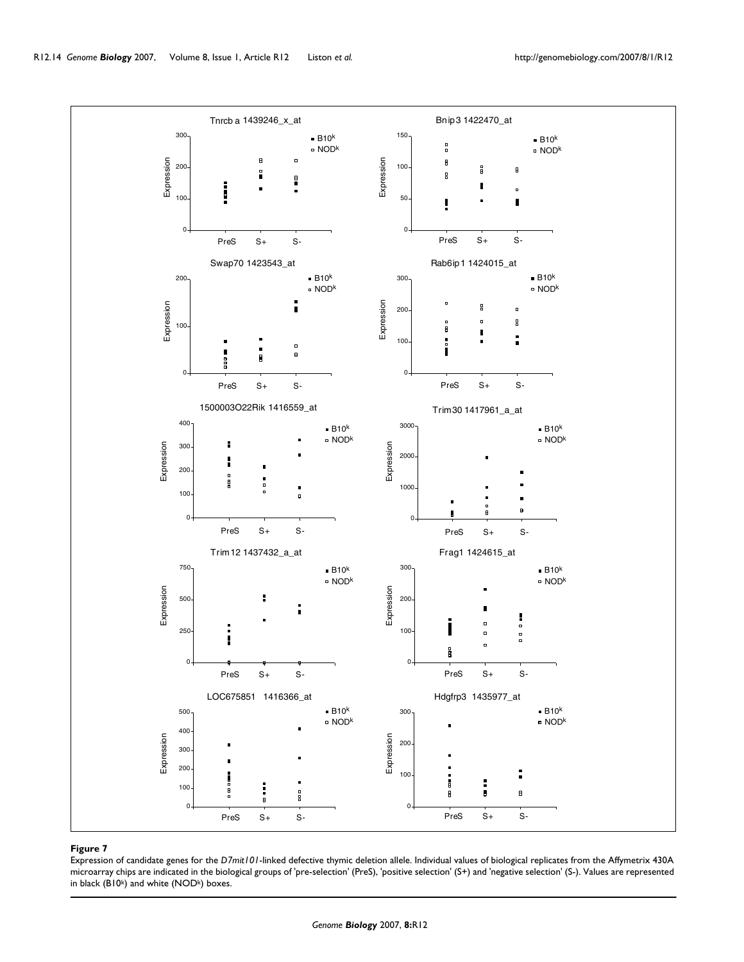![](_page_13_Figure_2.jpeg)

#### Expression of candidate genes for the **Figure 7** *D7mit101*-linked defective thymic deletion allele

Expression of candidate genes for the *D7mit101*-linked defective thymic deletion allele. Individual values of biological replicates from the Affymetrix 430A microarray chips are indicated in the biological groups of 'pre-selection' (PreS), 'positive selection' (S+) and 'negative selection' (S-). Values are represented in black (B10 $k$ ) and white (NOD $k$ ) boxes.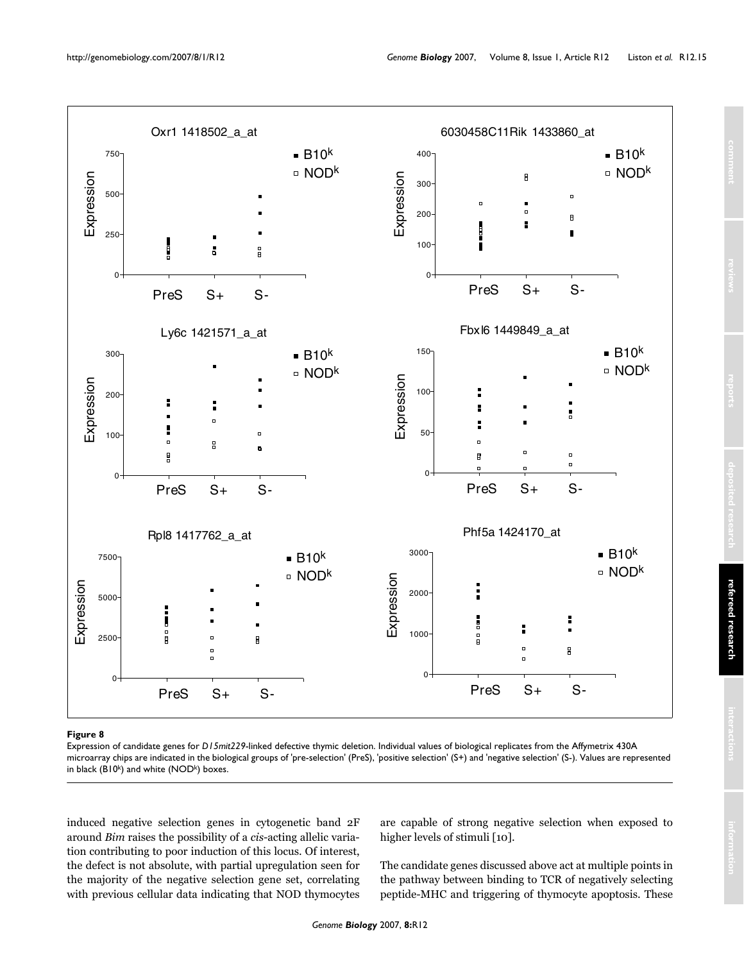![](_page_14_Figure_2.jpeg)

# Expression of candidate genes for **Figure 8** *D15mit229*-linked defective thymic deletion

Expression of candidate genes for *D15mit229*-linked defective thymic deletion. Individual values of biological replicates from the Affymetrix 430A microarray chips are indicated in the biological groups of 'pre-selection' (PreS), 'positive selection' (S+) and 'negative selection' (S-). Values are represented in black (B10 $k$ ) and white (NOD $k$ ) boxes.

induced negative selection genes in cytogenetic band 2F around *Bim* raises the possibility of a *cis*-acting allelic variation contributing to poor induction of this locus. Of interest, the defect is not absolute, with partial upregulation seen for the majority of the negative selection gene set, correlating with previous cellular data indicating that NOD thymocytes

are capable of strong negative selection when exposed to higher levels of stimuli [10].

The candidate genes discussed above act at multiple points in the pathway between binding to TCR of negatively selecting peptide-MHC and triggering of thymocyte apoptosis. These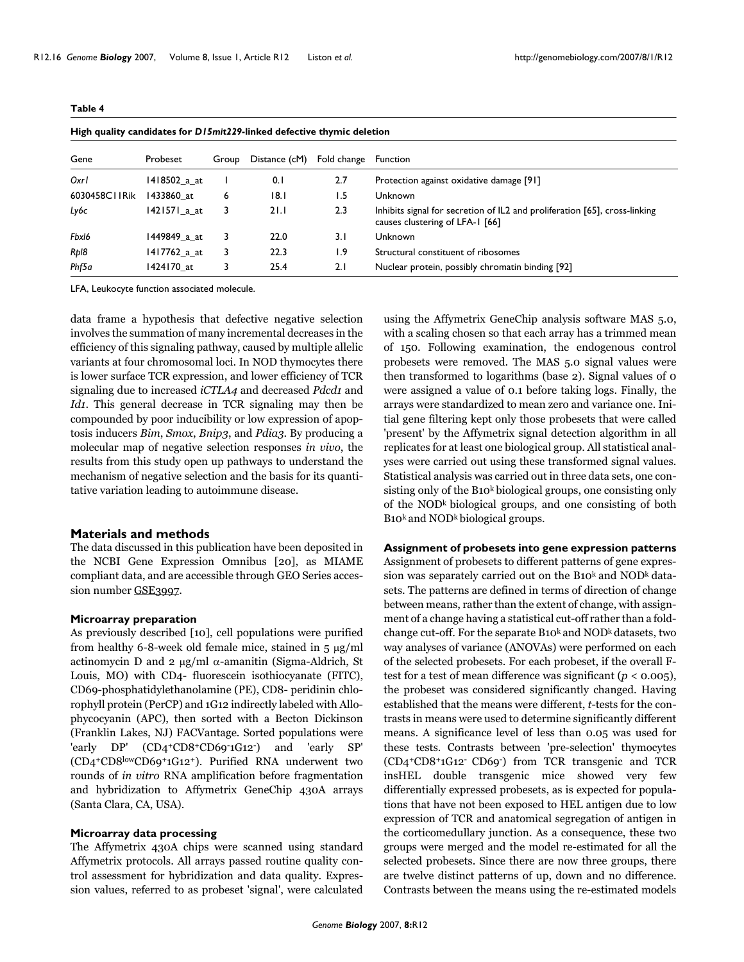| High quality candidates for D15mit229-linked defective thymic deletion |              |       |               |             |                                                                                                               |  |
|------------------------------------------------------------------------|--------------|-------|---------------|-------------|---------------------------------------------------------------------------------------------------------------|--|
| Gene                                                                   | Probeset     | Group | Distance (cM) | Fold change | <b>Function</b>                                                                                               |  |
| Oxrl                                                                   | 1418502 a at |       | 0.1           | 2.7         | Protection against oxidative damage [91]                                                                      |  |
| 6030458C11Rik                                                          | 1433860 at   | 6     | 18.1          | 1.5         | Unknown                                                                                                       |  |
| Ly6c                                                                   | 1421571_a_at | 3     | 21.1          | 2.3         | Inhibits signal for secretion of IL2 and proliferation [65], cross-linking<br>causes clustering of LFA-1 [66] |  |
| Fbxl6                                                                  | 1449849 a at | 3     | 22.0          | 3.1         | Unknown                                                                                                       |  |
| Rp18                                                                   | 1417762 a at | 3     | 22.3          | I.9         | Structural constituent of ribosomes                                                                           |  |
| Phf5a                                                                  | 1424170 at   | 3     | 25.4          | 2.1         | Nuclear protein, possibly chromatin binding [92]                                                              |  |

LFA, Leukocyte function associated molecule.

<span id="page-15-0"></span>**Table 4**

data frame a hypothesis that defective negative selection involves the summation of many incremental decreases in the efficiency of this signaling pathway, caused by multiple allelic variants at four chromosomal loci. In NOD thymocytes there is lower surface TCR expression, and lower efficiency of TCR signaling due to increased *iCTLA4* and decreased *Pdcd1* and *Id1*. This general decrease in TCR signaling may then be compounded by poor inducibility or low expression of apoptosis inducers *Bim*, *Smox*, *Bnip3*, and *Pdia3*. By producing a molecular map of negative selection responses *in vivo*, the results from this study open up pathways to understand the mechanism of negative selection and the basis for its quantitative variation leading to autoimmune disease.

#### **Materials and methods**

The data discussed in this publication have been deposited in the NCBI Gene Expression Omnibus [20], as MIAME compliant data, and are accessible through GEO Series accession number [GSE3997](http://www.ncbi.nih.gov/entrez/query.fcgi?db=Nucleotide&cmd=search&term=GSE3997).

#### **Microarray preparation**

As previously described [10], cell populations were purified from healthy 6-8-week old female mice, stained in 5 μg/ml actinomycin D and 2 μg/ml α-amanitin (Sigma-Aldrich, St Louis, MO) with CD4- fluorescein isothiocyanate (FITC), CD69-phosphatidylethanolamine (PE), CD8- peridinin chlorophyll protein (PerCP) and 1G12 indirectly labeled with Allophycocyanin (APC), then sorted with a Becton Dickinson (Franklin Lakes, NJ) FACVantage. Sorted populations were 'early DP' (CD4+CD8+CD69-1G12-) and 'early SP' (CD4+CD8lowCD69+1G12+). Purified RNA underwent two rounds of *in vitro* RNA amplification before fragmentation and hybridization to Affymetrix GeneChip 430A arrays (Santa Clara, CA, USA).

# **Microarray data processing**

The Affymetrix 430A chips were scanned using standard Affymetrix protocols. All arrays passed routine quality control assessment for hybridization and data quality. Expression values, referred to as probeset 'signal', were calculated using the Affymetrix GeneChip analysis software MAS 5.0, with a scaling chosen so that each array has a trimmed mean of 150. Following examination, the endogenous control probesets were removed. The MAS 5.0 signal values were then transformed to logarithms (base 2). Signal values of 0 were assigned a value of 0.1 before taking logs. Finally, the arrays were standardized to mean zero and variance one. Initial gene filtering kept only those probesets that were called 'present' by the Affymetrix signal detection algorithm in all replicates for at least one biological group. All statistical analyses were carried out using these transformed signal values. Statistical analysis was carried out in three data sets, one consisting only of the B10k biological groups, one consisting only of the NODk biological groups, and one consisting of both B<sub>10</sub><sup>k</sup> and NOD<sup>k</sup> biological groups.

# **Assignment of probesets into gene expression patterns**

Assignment of probesets to different patterns of gene expression was separately carried out on the B10<sup>k</sup> and NOD<sup>k</sup> datasets. The patterns are defined in terms of direction of change between means, rather than the extent of change, with assignment of a change having a statistical cut-off rather than a foldchange cut-off. For the separate  $B_10^k$  and  $NOD^k$  datasets, two way analyses of variance (ANOVAs) were performed on each of the selected probesets. For each probeset, if the overall Ftest for a test of mean difference was significant  $(p < 0.005)$ , the probeset was considered significantly changed. Having established that the means were different, *t*-tests for the contrasts in means were used to determine significantly different means. A significance level of less than 0.05 was used for these tests. Contrasts between 'pre-selection' thymocytes (CD4+CD8+1G12- CD69-) from TCR transgenic and TCR insHEL double transgenic mice showed very few differentially expressed probesets, as is expected for populations that have not been exposed to HEL antigen due to low expression of TCR and anatomical segregation of antigen in the corticomedullary junction. As a consequence, these two groups were merged and the model re-estimated for all the selected probesets. Since there are now three groups, there are twelve distinct patterns of up, down and no difference. Contrasts between the means using the re-estimated models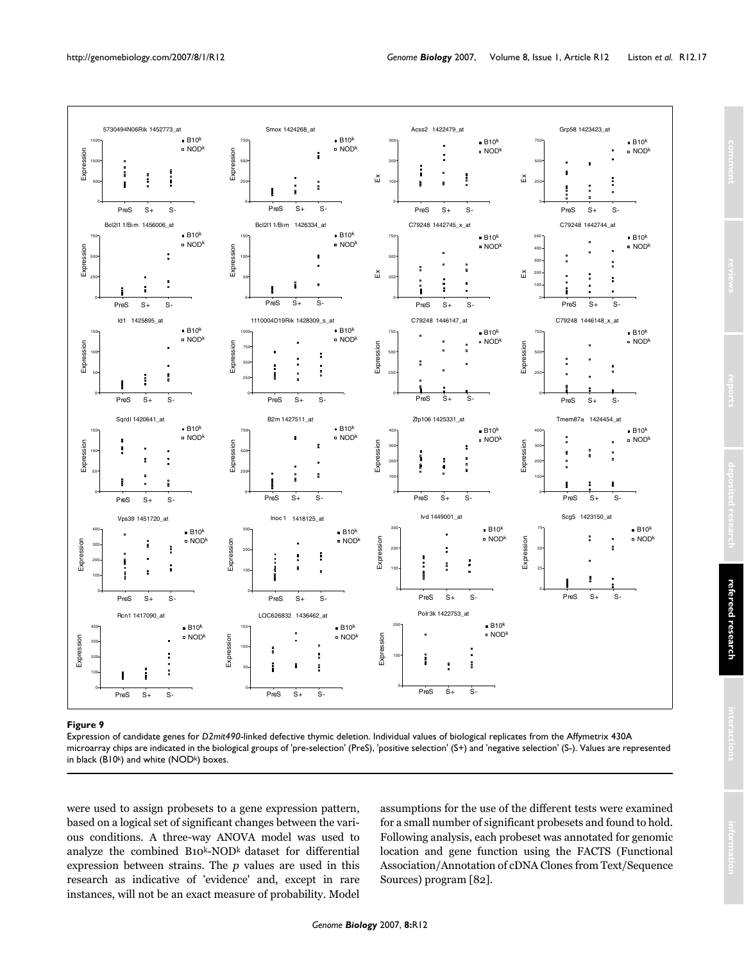<span id="page-16-0"></span>![](_page_16_Figure_2.jpeg)

#### Figure 9

Expression of candidate genes for *D2mit490*-linked defective thymic deletion. Individual values of biological replicates from the Affymetrix 430A microarray chips are indicated in the biological groups of 'pre-selection' (PreS), 'positive selection' (S+) and 'negative selection' (S-). Values are represented in black (B10 $k$ ) and white (NOD $k$ ) boxes.

were used to assign probesets to a gene expression pattern, based on a logical set of significant changes between the various conditions. A three-way ANOVA model was used to analyze the combined B10k-NODk dataset for differential expression between strains. The *p* values are used in this research as indicative of 'evidence' and, except in rare instances, will not be an exact measure of probability. Model

assumptions for the use of the different tests were examined for a small number of significant probesets and found to hold. Following analysis, each probeset was annotated for genomic location and gene function using the FACTS (Functional Association/Annotation of cDNA Clones from Text/Sequence Sources) program [82].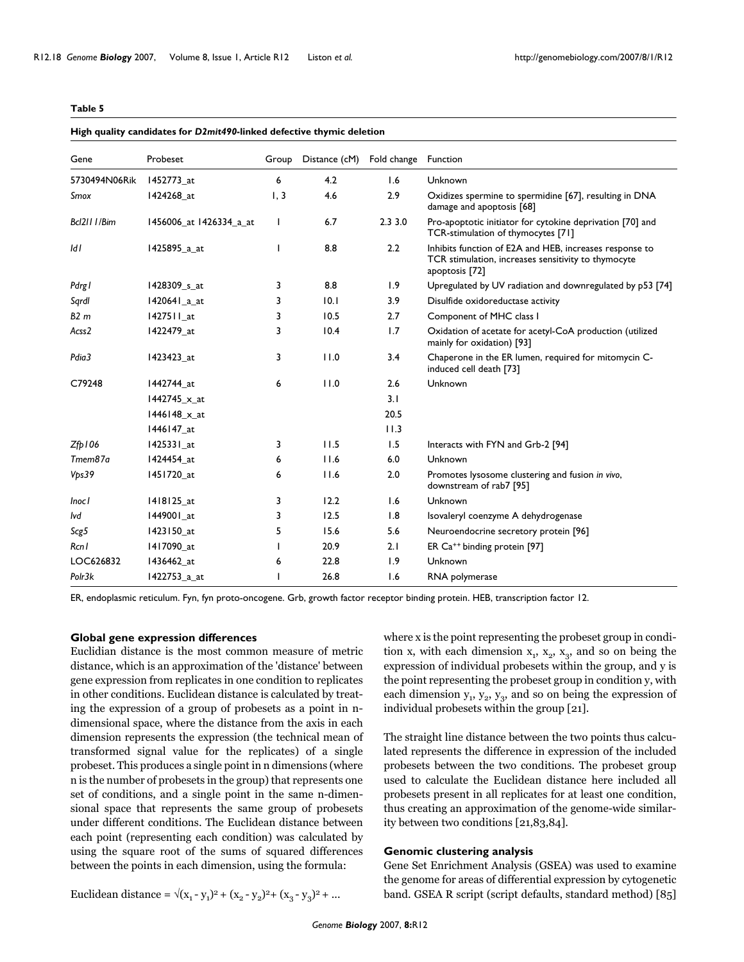<span id="page-17-0"></span>

| Gene                 | Probeset                | Group | Distance (cM) | Fold change | Function                                                                                                                         |
|----------------------|-------------------------|-------|---------------|-------------|----------------------------------------------------------------------------------------------------------------------------------|
| 5730494N06Rik        | 1452773_at              | 6     | 4.2           | 1.6         | Unknown                                                                                                                          |
| Smox                 | 1424268 at              | 1, 3  | 4.6           | 2.9         | Oxidizes spermine to spermidine [67], resulting in DNA<br>damage and apoptosis [68]                                              |
| Bcl211   /Bim        | 1456006_at 1426334_a_at |       | 6.7           | 2.33.0      | Pro-apoptotic initiator for cytokine deprivation [70] and<br>TCR-stimulation of thymocytes [71]                                  |
| IdI                  | 1425895_a_at            |       | 8.8           | 2.2         | Inhibits function of E2A and HEB, increases response to<br>TCR stimulation, increases sensitivity to thymocyte<br>apoptosis [72] |
| Pdrgl                | 1428309 s at            | 3     | 8.8           | 1.9         | Upregulated by UV radiation and downregulated by p53 [74]                                                                        |
| Sqrdl                | 1420641_a_at            | 3     | 0.1           | 3.9         | Disulfide oxidoreductase activity                                                                                                |
| B2m                  | 1427511 at              | 3     | 10.5          | 2.7         | Component of MHC class I                                                                                                         |
| Acss2                | 1422479_at              | 3     | 10.4          | 1.7         | Oxidation of acetate for acetyl-CoA production (utilized<br>mainly for oxidation) [93]                                           |
| Pdia3                | 1423423_at              | 3     | 11.0          | 3.4         | Chaperone in the ER lumen, required for mitomycin C-<br>induced cell death [73]                                                  |
| C79248               | 1442744_at              | 6     | 11.0          | 2.6         | Unknown                                                                                                                          |
|                      | 1442745_x_at            |       |               | 3.1         |                                                                                                                                  |
|                      | 1446148 x at            |       |               | 20.5        |                                                                                                                                  |
|                      | 1446147_at              |       |               | 11.3        |                                                                                                                                  |
| $Z_{\text{fb}}$   06 | 1425331_at              | 3     | 11.5          | 1.5         | Interacts with FYN and Grb-2 [94]                                                                                                |
| Tmem87a              | 1424454_at              | 6     | 11.6          | 6.0         | Unknown                                                                                                                          |
| Vps39                | 1451720 at              | 6     | 11.6          | 2.0         | Promotes lysosome clustering and fusion in vivo,<br>downstream of rab7 [95]                                                      |
| <b>Inocl</b>         | 1418125_at              | 3     | 12.2          | 1.6         | Unknown                                                                                                                          |
| lvd                  | 1449001 at              | 3     | 12.5          | 1.8         | Isovaleryl coenzyme A dehydrogenase                                                                                              |
| Scg5                 | 1423150_at              | 5     | 15.6          | 5.6         | Neuroendocrine secretory protein [96]                                                                                            |
| Rcn I                | 1417090 at              |       | 20.9          | 2.1         | ER Ca <sup>++</sup> binding protein [97]                                                                                         |
| LOC626832            | 1436462_at              | 6     | 22.8          | 1.9         | Unknown                                                                                                                          |
| Polr3k               | 1422753_a_at            |       | 26.8          | 1.6         | RNA polymerase                                                                                                                   |

ER, endoplasmic reticulum. Fyn, fyn proto-oncogene. Grb, growth factor receptor binding protein. HEB, transcription factor 12.

# **Global gene expression differences**

Euclidian distance is the most common measure of metric distance, which is an approximation of the 'distance' between gene expression from replicates in one condition to replicates in other conditions. Euclidean distance is calculated by treating the expression of a group of probesets as a point in ndimensional space, where the distance from the axis in each dimension represents the expression (the technical mean of transformed signal value for the replicates) of a single probeset. This produces a single point in n dimensions (where n is the number of probesets in the group) that represents one set of conditions, and a single point in the same n-dimensional space that represents the same group of probesets under different conditions. The Euclidean distance between each point (representing each condition) was calculated by using the square root of the sums of squared differences between the points in each dimension, using the formula:

where x is the point representing the probeset group in condition x, with each dimension  $x_1$ ,  $x_2$ ,  $x_3$ , and so on being the expression of individual probesets within the group, and y is the point representing the probeset group in condition y, with each dimension  $y_1$ ,  $y_2$ ,  $y_3$ , and so on being the expression of individual probesets within the group [21].

The straight line distance between the two points thus calculated represents the difference in expression of the included probesets between the two conditions. The probeset group used to calculate the Euclidean distance here included all probesets present in all replicates for at least one condition, thus creating an approximation of the genome-wide similarity between two conditions [21,83,84].

### **Genomic clustering analysis**

Gene Set Enrichment Analysis (GSEA) was used to examine the genome for areas of differential expression by cytogenetic band. GSEA R script (script defaults, standard method) [85]

Euclidean distance =  $\sqrt{(x_1 - y_1)^2 + (x_2 - y_2)^2 + (x_3 - y_3)^2 + \dots}$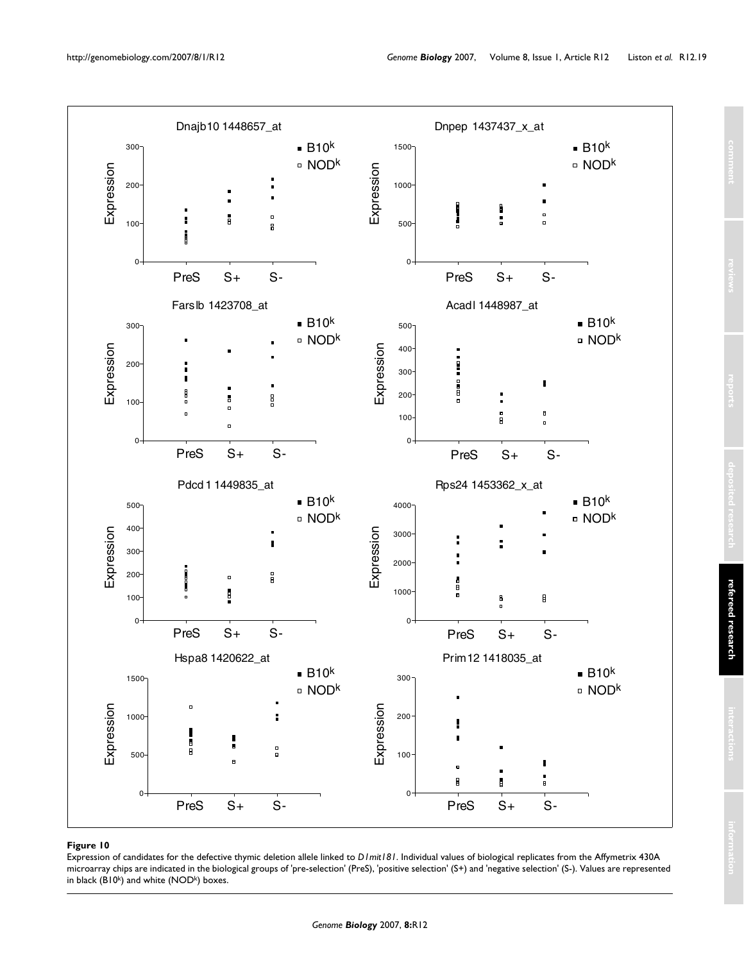<span id="page-18-0"></span>![](_page_18_Figure_2.jpeg)

#### **Figure 10**

Expression of candidates for the defective thymic deletion allele linked to *D1mit181*. Individual values of biological replicates from the Affymetrix 430A microarray chips are indicated in the biological groups of 'pre-selection' (PreS), 'positive selection' (S+) and 'negative selection' (S-). Values are represented in black  $(B10<sup>k</sup>)$  and white  $(NOD<sup>k</sup>)$  boxes.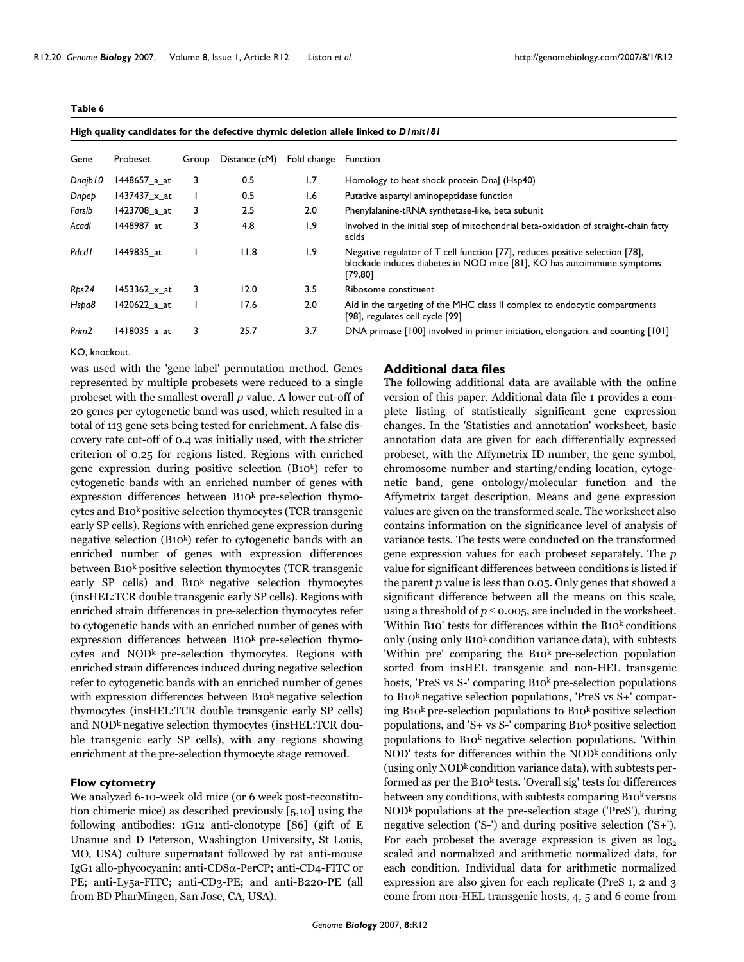<span id="page-19-0"></span>

|--|--|--|

**High quality candidates for the defective thymic deletion allele linked to** *D1mit181*

| Gene              | Probeset            | Group | Distance (cM) | Fold change      | <b>Function</b>                                                                                                                                                    |
|-------------------|---------------------|-------|---------------|------------------|--------------------------------------------------------------------------------------------------------------------------------------------------------------------|
| Dnajb 10          | 1448657 a at        | 3     | 0.5           | 1.7              | Homology to heat shock protein Dnal (Hsp40)                                                                                                                        |
| Dnpep             | 1437437 $\times$ at |       | 0.5           | 1.6              | Putative aspartyl aminopeptidase function                                                                                                                          |
| Farslb            | 1423708 a at        | 3     | 2.5           | 2.0              | Phenylalanine-tRNA synthetase-like, beta subunit                                                                                                                   |
| Acadl             | 1448987 at          | 3     | 4.8           | $\overline{1.9}$ | Involved in the initial step of mitochondrial beta-oxidation of straight-chain fatty<br>acids                                                                      |
| <b>Pdcd1</b>      | 1449835 at          |       | 11.8          | 1.9              | Negative regulator of T cell function [77], reduces positive selection [78],<br>blockade induces diabetes in NOD mice [81], KO has autoimmune symptoms<br>[79, 80] |
| Rps24             | 1453362_x_at        | 3     | 12.0          | 3.5              | Ribosome constituent                                                                                                                                               |
| Hspa8             | 1420622 a at        |       | 17.6          | 2.0              | Aid in the targeting of the MHC class II complex to endocytic compartments<br>[98], regulates cell cycle [99]                                                      |
| Prim <sub>2</sub> | 1418035 a at        | 3.    | 25.7          | 3.7              | DNA primase [100] involved in primer initiation, elongation, and counting [101]                                                                                    |

#### KO, knockout.

was used with the 'gene label' permutation method. Genes represented by multiple probesets were reduced to a single probeset with the smallest overall *p* value. A lower cut-off of 20 genes per cytogenetic band was used, which resulted in a total of 113 gene sets being tested for enrichment. A false discovery rate cut-off of 0.4 was initially used, with the stricter criterion of 0.25 for regions listed. Regions with enriched gene expression during positive selection (B10k) refer to cytogenetic bands with an enriched number of genes with expression differences between  $B10<sup>k</sup>$  pre-selection thymocytes and B10k positive selection thymocytes (TCR transgenic early SP cells). Regions with enriched gene expression during negative selection (B10<sup>k</sup>) refer to cytogenetic bands with an enriched number of genes with expression differences between B10<sup>k</sup> positive selection thymocytes (TCR transgenic early SP cells) and  $B10<sup>k</sup>$  negative selection thymocytes (insHEL:TCR double transgenic early SP cells). Regions with enriched strain differences in pre-selection thymocytes refer to cytogenetic bands with an enriched number of genes with expression differences between  $B10<sup>k</sup>$  pre-selection thymocytes and  $NOD<sup>k</sup>$  pre-selection thymocytes. Regions with enriched strain differences induced during negative selection refer to cytogenetic bands with an enriched number of genes with expression differences between  $B10<sup>k</sup>$  negative selection thymocytes (insHEL:TCR double transgenic early SP cells) and NOD<sup>k</sup> negative selection thymocytes (insHEL:TCR double transgenic early SP cells), with any regions showing enrichment at the pre-selection thymocyte stage removed.

# **Flow cytometry**

We analyzed 6-10-week old mice (or 6 week post-reconstitution chimeric mice) as described previously [5,10] using the following antibodies: 1G12 anti-clonotype [86] (gift of E Unanue and D Peterson, Washington University, St Louis, MO, USA) culture supernatant followed by rat anti-mouse IgG1 allo-phycocyanin; anti-CD8α-PerCP; anti-CD4-FITC or PE; anti-Ly5a-FITC; anti-CD3-PE; and anti-B220-PE (all from BD PharMingen, San Jose, CA, USA).

# **Additional data files**

The following additional data are available with the online version of this paper. Additional data file 1 provides a complete listing of statistically significant gene expression changes. In the 'Statistics and annotation' worksheet, basic annotation data are given for each differentially expressed probeset, with the Affymetrix ID number, the gene symbol, chromosome number and starting/ending location, cytogenetic band, gene ontology/molecular function and the Affymetrix target description. Means and gene expression values are given on the transformed scale. The worksheet also contains information on the significance level of analysis of variance tests. The tests were conducted on the transformed gene expression values for each probeset separately. The *p* value for significant differences between conditions is listed if the parent *p* value is less than 0.05. Only genes that showed a significant difference between all the means on this scale, using a threshold of  $p \le 0.005$ , are included in the worksheet. 'Within B10' tests for differences within the B10k conditions only (using only B10k condition variance data), with subtests 'Within pre' comparing the B10<sup>k</sup> pre-selection population sorted from insHEL transgenic and non-HEL transgenic hosts, 'PreS vs S-' comparing B10<sup>k</sup> pre-selection populations to B10k negative selection populations, 'PreS vs S+' comparing B10k pre-selection populations to B10k positive selection populations, and 'S+ vs S-' comparing  $B_10^k$  positive selection populations to B10k negative selection populations. 'Within  $NOD'$  tests for differences within the  $NOD<sup>k</sup>$  conditions only (using only  $NOD<sup>k</sup>$  condition variance data), with subtests performed as per the B10 $k$  tests. 'Overall sig' tests for differences between any conditions, with subtests comparing B10<sup>k</sup> versus NODk populations at the pre-selection stage ('PreS'), during negative selection ('S-') and during positive selection ('S+'). For each probeset the average expression is given as  $log<sub>2</sub>$ scaled and normalized and arithmetic normalized data, for each condition. Individual data for arithmetic normalized expression are also given for each replicate (PreS 1, 2 and 3 come from non-HEL transgenic hosts, 4, 5 and 6 come from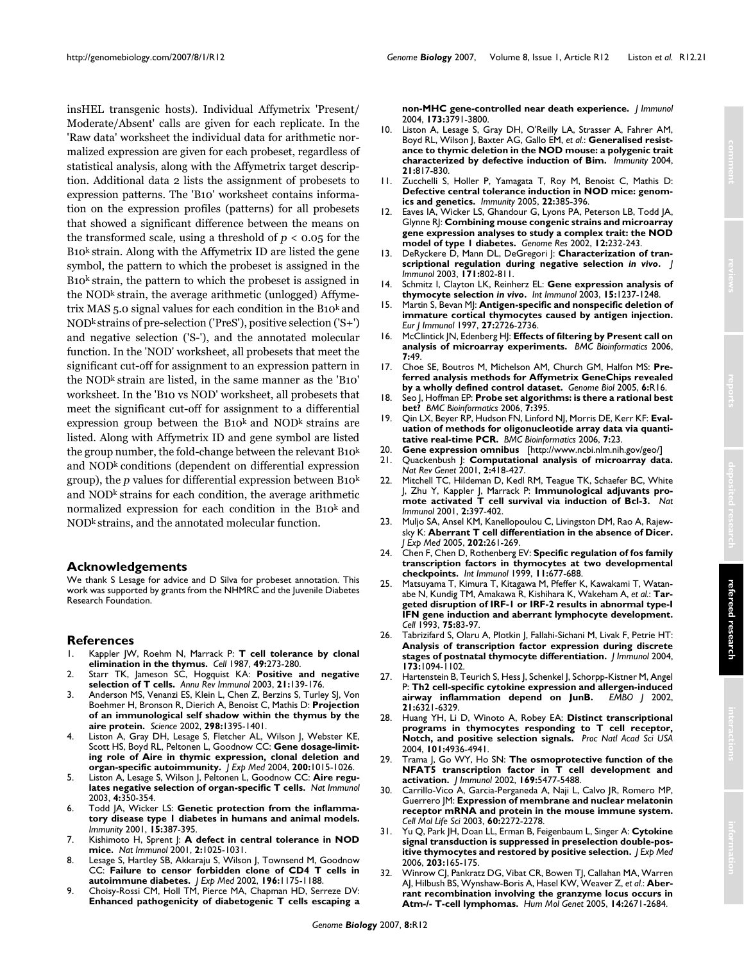insHEL transgenic hosts). Individual Affymetrix 'Present/ Moderate/Absent' calls are given for each replicate. In the 'Raw data' worksheet the individual data for arithmetic normalized expression are given for each probeset, regardless of statistical analysis, along with the Affymetrix target description. Additional data 2 lists the assignment of probesets to expression patterns. The 'B10' worksheet contains information on the expression profiles (patterns) for all probesets that showed a significant difference between the means on the transformed scale, using a threshold of  $p < 0.05$  for the  $B10<sup>k</sup>$  strain. Along with the Affymetrix ID are listed the gene symbol, the pattern to which the probeset is assigned in the B10k strain, the pattern to which the probeset is assigned in the NOD<sup>k</sup> strain, the average arithmetic (unlogged) Affymetrix MAS 5.0 signal values for each condition in the B10 $k$  and NODk strains of pre-selection ('PreS'), positive selection ('S+') and negative selection ('S-'), and the annotated molecular function. In the 'NOD' worksheet, all probesets that meet the significant cut-off for assignment to an expression pattern in the NODk strain are listed, in the same manner as the 'B10' worksheet. In the 'B10 vs NOD' worksheet, all probesets that meet the significant cut-off for assignment to a differential expression group between the B10 $k$  and NOD $k$  strains are listed. Along with Affymetrix ID and gene symbol are listed the group number, the fold-change between the relevant B10<sup>k</sup> and NODk conditions (dependent on differential expression group), the *p* values for differential expression between B10k and NODk strains for each condition, the average arithmetic normalized expression for each condition in the B10k and NODk strains, and the annotated molecular function.

# **Acknowledgements**

We thank S Lesage for advice and D Silva for probeset annotation. This work was supported by grants from the NHMRC and the Juvenile Diabetes Research Foundation.

# **References**

- 1. Kappler JW, Roehm N, Marrack P: **[T cell tolerance by clonal](http://www.ncbi.nlm.nih.gov/entrez/query.fcgi?cmd=Retrieve&db=PubMed&dopt=Abstract&list_uids=3494522) [elimination in the thymus.](http://www.ncbi.nlm.nih.gov/entrez/query.fcgi?cmd=Retrieve&db=PubMed&dopt=Abstract&list_uids=3494522)** *Cell* 1987, **49:**273-280.
- 2. Starr TK, Jameson SC, Hogquist KA: **[Positive and negative](http://www.ncbi.nlm.nih.gov/entrez/query.fcgi?cmd=Retrieve&db=PubMed&dopt=Abstract&list_uids=12414722) [selection of T cells.](http://www.ncbi.nlm.nih.gov/entrez/query.fcgi?cmd=Retrieve&db=PubMed&dopt=Abstract&list_uids=12414722)** *Annu Rev Immunol* 2003, **21:**139-176.
- 3. Anderson MS, Venanzi ES, Klein L, Chen Z, Berzins S, Turley SJ, Von Boehmer H, Bronson R, Dierich A, Benoist C, Mathis D: **[Projection](http://www.ncbi.nlm.nih.gov/entrez/query.fcgi?cmd=Retrieve&db=PubMed&dopt=Abstract&list_uids=12376594) [of an immunological self shadow within the thymus by the](http://www.ncbi.nlm.nih.gov/entrez/query.fcgi?cmd=Retrieve&db=PubMed&dopt=Abstract&list_uids=12376594) [aire protein.](http://www.ncbi.nlm.nih.gov/entrez/query.fcgi?cmd=Retrieve&db=PubMed&dopt=Abstract&list_uids=12376594)** *Science* 2002, **298:**1395-1401.
- Liston A, Gray DH, Lesage S, Fletcher AL, Wilson J, Webster KE, Scott HS, Boyd RL, Peltonen L, Goodnow CC: **[Gene dosage-limit](http://www.ncbi.nlm.nih.gov/entrez/query.fcgi?cmd=Retrieve&db=PubMed&dopt=Abstract&list_uids=15492124)[ing role of Aire in thymic expression, clonal deletion and](http://www.ncbi.nlm.nih.gov/entrez/query.fcgi?cmd=Retrieve&db=PubMed&dopt=Abstract&list_uids=15492124) [organ-specific autoimmunity.](http://www.ncbi.nlm.nih.gov/entrez/query.fcgi?cmd=Retrieve&db=PubMed&dopt=Abstract&list_uids=15492124)** *J Exp Med* 2004, **200:**1015-1026.
- 5. Liston A, Lesage S, Wilson J, Peltonen L, Goodnow CC: **[Aire regu](http://www.ncbi.nlm.nih.gov/entrez/query.fcgi?cmd=Retrieve&db=PubMed&dopt=Abstract&list_uids=12612579)[lates negative selection of organ-specific T cells.](http://www.ncbi.nlm.nih.gov/entrez/query.fcgi?cmd=Retrieve&db=PubMed&dopt=Abstract&list_uids=12612579)** *Nat Immunol* 2003, **4:**350-354.
- 6. Todd JA, Wicker LS: **[Genetic protection from the inflamma](http://www.ncbi.nlm.nih.gov/entrez/query.fcgi?cmd=Retrieve&db=PubMed&dopt=Abstract&list_uids=11567629)[tory disease type 1 diabetes in humans and animal models.](http://www.ncbi.nlm.nih.gov/entrez/query.fcgi?cmd=Retrieve&db=PubMed&dopt=Abstract&list_uids=11567629)** *Immunity* 2001, **15:**387-395.
- 7. Kishimoto H, Sprent J: **[A defect in central tolerance in NOD](http://www.ncbi.nlm.nih.gov/entrez/query.fcgi?cmd=Retrieve&db=PubMed&dopt=Abstract&list_uids=11668341) [mice.](http://www.ncbi.nlm.nih.gov/entrez/query.fcgi?cmd=Retrieve&db=PubMed&dopt=Abstract&list_uids=11668341)** *Nat Immunol* 2001, **2:**1025-1031.
- 8. Lesage S, Hartley SB, Akkaraju S, Wilson J, Townsend M, Goodnow CC: **[Failure to censor forbidden clone of CD4 T cells in](http://www.ncbi.nlm.nih.gov/entrez/query.fcgi?cmd=Retrieve&db=PubMed&dopt=Abstract&list_uids=12417628) [autoimmune diabetes.](http://www.ncbi.nlm.nih.gov/entrez/query.fcgi?cmd=Retrieve&db=PubMed&dopt=Abstract&list_uids=12417628)** *J Exp Med* 2002, **196:**1175-1188.
- 9. Choisy-Rossi CM, Holl TM, Pierce MA, Chapman HD, Serreze DV: **[Enhanced pathogenicity of diabetogenic T cells escaping a](http://www.ncbi.nlm.nih.gov/entrez/query.fcgi?cmd=Retrieve&db=PubMed&dopt=Abstract&list_uids=15356126)**

**[non-MHC gene-controlled near death experience.](http://www.ncbi.nlm.nih.gov/entrez/query.fcgi?cmd=Retrieve&db=PubMed&dopt=Abstract&list_uids=15356126)** *J Immunol* 2004, **173:**3791-3800.

- 10. Liston A, Lesage S, Gray DH, O'Reilly LA, Strasser A, Fahrer AM, Boyd RL, Wilson J, Baxter AG, Gallo EM, et al.: [Generalised resist](http://www.ncbi.nlm.nih.gov/entrez/query.fcgi?cmd=Retrieve&db=PubMed&dopt=Abstract&list_uids=15589170)**[ance to thymic deletion in the NOD mouse: a polygenic trait](http://www.ncbi.nlm.nih.gov/entrez/query.fcgi?cmd=Retrieve&db=PubMed&dopt=Abstract&list_uids=15589170) [characterized by defective induction of Bim.](http://www.ncbi.nlm.nih.gov/entrez/query.fcgi?cmd=Retrieve&db=PubMed&dopt=Abstract&list_uids=15589170)** *Immunity* 2004, **21:**817-830.
- 11. Zucchelli S, Holler P, Yamagata T, Roy M, Benoist C, Mathis D: **[Defective central tolerance induction in NOD mice: genom](http://www.ncbi.nlm.nih.gov/entrez/query.fcgi?cmd=Retrieve&db=PubMed&dopt=Abstract&list_uids=15780994)[ics and genetics.](http://www.ncbi.nlm.nih.gov/entrez/query.fcgi?cmd=Retrieve&db=PubMed&dopt=Abstract&list_uids=15780994)** *Immunity* 2005, **22:**385-396.
- 12. Eaves IA, Wicker LS, Ghandour G, Lyons PA, Peterson LB, Todd JA, Glynne RJ: **[Combining mouse congenic strains and microarray](http://www.ncbi.nlm.nih.gov/entrez/query.fcgi?cmd=Retrieve&db=PubMed&dopt=Abstract&list_uids=11827943) [gene expression analyses to study a complex trait: the NOD](http://www.ncbi.nlm.nih.gov/entrez/query.fcgi?cmd=Retrieve&db=PubMed&dopt=Abstract&list_uids=11827943) [model of type 1 diabetes.](http://www.ncbi.nlm.nih.gov/entrez/query.fcgi?cmd=Retrieve&db=PubMed&dopt=Abstract&list_uids=11827943)** *Genome Res* 2002, **12:**232-243.
- <span id="page-20-0"></span>13. DeRyckere D, Mann DL, DeGregori J: Characterization of tran**scriptional regulation during negative selection** *in vivo***[.](http://www.ncbi.nlm.nih.gov/entrez/query.fcgi?cmd=Retrieve&db=PubMed&dopt=Abstract&list_uids=12847248)** *J Immunol* 2003, **171:**802-811.
- 14. Schmitz I, Clayton LK, Reinherz EL: **Gene expression analysis of thymocyte selection** *in vivo***[.](http://www.ncbi.nlm.nih.gov/entrez/query.fcgi?cmd=Retrieve&db=PubMed&dopt=Abstract&list_uids=13679393)** *Int Immunol* 2003, **15:**1237-1248.
- 15. Martin S, Bevan MJ: **[Antigen-specific and nonspecific deletion of](http://www.ncbi.nlm.nih.gov/entrez/query.fcgi?cmd=Retrieve&db=PubMed&dopt=Abstract&list_uids=9368633) [immature cortical thymocytes caused by antigen injection.](http://www.ncbi.nlm.nih.gov/entrez/query.fcgi?cmd=Retrieve&db=PubMed&dopt=Abstract&list_uids=9368633)** *Eur J Immunol* 1997, **27:**2726-2736.
- 16. McClintick JN, Edenberg HJ: **[Effects of filtering by Present call on](http://www.ncbi.nlm.nih.gov/entrez/query.fcgi?cmd=Retrieve&db=PubMed&dopt=Abstract&list_uids=16448562) [analysis of microarray experiments.](http://www.ncbi.nlm.nih.gov/entrez/query.fcgi?cmd=Retrieve&db=PubMed&dopt=Abstract&list_uids=16448562)** *BMC Bioinformatics* 2006, **7:**49.
- 17. Choe SE, Boutros M, Michelson AM, Church GM, Halfon MS: **[Pre](http://www.ncbi.nlm.nih.gov/entrez/query.fcgi?cmd=Retrieve&db=PubMed&dopt=Abstract&list_uids=15693945)[ferred analysis methods for Affymetrix GeneChips revealed](http://www.ncbi.nlm.nih.gov/entrez/query.fcgi?cmd=Retrieve&db=PubMed&dopt=Abstract&list_uids=15693945) [by a wholly defined control dataset.](http://www.ncbi.nlm.nih.gov/entrez/query.fcgi?cmd=Retrieve&db=PubMed&dopt=Abstract&list_uids=15693945)** *Genome Biol* 2005, **6:**R16.
- 18. Seo J, Hoffman EP: **[Probe set algorithms: is there a rational best](http://www.ncbi.nlm.nih.gov/entrez/query.fcgi?cmd=Retrieve&db=PubMed&dopt=Abstract&list_uids=16942624) [bet?](http://www.ncbi.nlm.nih.gov/entrez/query.fcgi?cmd=Retrieve&db=PubMed&dopt=Abstract&list_uids=16942624)** *BMC Bioinformatics* 2006, **7:**395.
- 19. Qin LX, Beyer RP, Hudson FN, Linford NJ, Morris DE, Kerr KF: **[Eval](http://www.ncbi.nlm.nih.gov/entrez/query.fcgi?cmd=Retrieve&db=PubMed&dopt=Abstract&list_uids=16417622)[uation of methods for oligonucleotide array data via quanti](http://www.ncbi.nlm.nih.gov/entrez/query.fcgi?cmd=Retrieve&db=PubMed&dopt=Abstract&list_uids=16417622)[tative real-time PCR.](http://www.ncbi.nlm.nih.gov/entrez/query.fcgi?cmd=Retrieve&db=PubMed&dopt=Abstract&list_uids=16417622)** *BMC Bioinformatics* 2006, **7:**23.
- 20. **Gene expression omnibus** [\[http://www.ncbi.nlm.nih.gov/geo/\]](http://www.ncbi.nlm.nih.gov/geo/)
- 21. Quackenbush J: **[Computational analysis of microarray data.](http://www.ncbi.nlm.nih.gov/entrez/query.fcgi?cmd=Retrieve&db=PubMed&dopt=Abstract&list_uids=11389458)** *Nat Rev Genet* 2001, **2:**418-427.
- 22. Mitchell TC, Hildeman D, Kedl RM, Teague TK, Schaefer BC, White J, Zhu Y, Kappler J, Marrack P: **[Immunological adjuvants pro](http://www.ncbi.nlm.nih.gov/entrez/query.fcgi?cmd=Retrieve&db=PubMed&dopt=Abstract&list_uids=11323692)[mote activated T cell survival via induction of Bcl-3.](http://www.ncbi.nlm.nih.gov/entrez/query.fcgi?cmd=Retrieve&db=PubMed&dopt=Abstract&list_uids=11323692)** *Nat Immunol* 2001, **2:**397-402.
- 23. Muljo SA, Ansel KM, Kanellopoulou C, Livingston DM, Rao A, Rajewsky K: **[Aberrant T cell differentiation in the absence of Dicer.](http://www.ncbi.nlm.nih.gov/entrez/query.fcgi?cmd=Retrieve&db=PubMed&dopt=Abstract&list_uids=16009718)** *J Exp Med* 2005, **202:**261-269.
- 24. Chen F, Chen D, Rothenberg EV: **[Specific regulation of fos family](http://www.ncbi.nlm.nih.gov/entrez/query.fcgi?cmd=Retrieve&db=PubMed&dopt=Abstract&list_uids=10330273) [transcription factors in thymocytes at two developmental](http://www.ncbi.nlm.nih.gov/entrez/query.fcgi?cmd=Retrieve&db=PubMed&dopt=Abstract&list_uids=10330273) [checkpoints.](http://www.ncbi.nlm.nih.gov/entrez/query.fcgi?cmd=Retrieve&db=PubMed&dopt=Abstract&list_uids=10330273)** *Int Immunol* 1999, **11:**677-688.
- 25. Matsuyama T, Kimura T, Kitagawa M, Pfeffer K, Kawakami T, Watanabe N, Kundig TM, Amakawa R, Kishihara K, Wakeham A, *et al.*: **[Tar](http://www.ncbi.nlm.nih.gov/entrez/query.fcgi?cmd=Retrieve&db=PubMed&dopt=Abstract&list_uids=8402903)[geted disruption of IRF-1 or IRF-2 results in abnormal type-I](http://www.ncbi.nlm.nih.gov/entrez/query.fcgi?cmd=Retrieve&db=PubMed&dopt=Abstract&list_uids=8402903) IFN gene induction and aberrant lymphocyte development.** *Cell* 1993, **75:**83-97.
- 26. Tabrizifard S, Olaru A, Plotkin J, Fallahi-Sichani M, Livak F, Petrie HT: **[Analysis of transcription factor expression during discrete](http://www.ncbi.nlm.nih.gov/entrez/query.fcgi?cmd=Retrieve&db=PubMed&dopt=Abstract&list_uids=15240698) [stages of postnatal thymocyte differentiation.](http://www.ncbi.nlm.nih.gov/entrez/query.fcgi?cmd=Retrieve&db=PubMed&dopt=Abstract&list_uids=15240698)** *J Immunol* 2004, **173:**1094-1102.
- 27. Hartenstein B, Teurich S, Hess J, Schenkel J, Schorpp-Kistner M, Angel P: **[Th2 cell-specific cytokine expression and allergen-induced](http://www.ncbi.nlm.nih.gov/entrez/query.fcgi?cmd=Retrieve&db=PubMed&dopt=Abstract&list_uids=12456639)** [airway inflammation depend on JunB.](http://www.ncbi.nlm.nih.gov/entrez/query.fcgi?cmd=Retrieve&db=PubMed&dopt=Abstract&list_uids=12456639) **21:**6321-6329.
- 28. Huang YH, Li D, Winoto A, Robey EA: **[Distinct transcriptional](http://www.ncbi.nlm.nih.gov/entrez/query.fcgi?cmd=Retrieve&db=PubMed&dopt=Abstract&list_uids=15044701) [programs in thymocytes responding to T cell receptor,](http://www.ncbi.nlm.nih.gov/entrez/query.fcgi?cmd=Retrieve&db=PubMed&dopt=Abstract&list_uids=15044701) [Notch, and positive selection signals.](http://www.ncbi.nlm.nih.gov/entrez/query.fcgi?cmd=Retrieve&db=PubMed&dopt=Abstract&list_uids=15044701)** *Proc Natl Acad Sci USA* 2004, **101:**4936-4941.
- 29. Trama J, Go WY, Ho SN: **[The osmoprotective function of the](http://www.ncbi.nlm.nih.gov/entrez/query.fcgi?cmd=Retrieve&db=PubMed&dopt=Abstract&list_uids=12421923) [NFAT5 transcription factor in T cell development and](http://www.ncbi.nlm.nih.gov/entrez/query.fcgi?cmd=Retrieve&db=PubMed&dopt=Abstract&list_uids=12421923) [activation.](http://www.ncbi.nlm.nih.gov/entrez/query.fcgi?cmd=Retrieve&db=PubMed&dopt=Abstract&list_uids=12421923)** *J Immunol* 2002, **169:**5477-5488.
- 30. Carrillo-Vico A, Garcia-Perganeda A, Naji L, Calvo JR, Romero MP, Guerrero JM: **[Expression of membrane and nuclear melatonin](http://www.ncbi.nlm.nih.gov/entrez/query.fcgi?cmd=Retrieve&db=PubMed&dopt=Abstract&list_uids=14618273) [receptor mRNA and protein in the mouse immune system.](http://www.ncbi.nlm.nih.gov/entrez/query.fcgi?cmd=Retrieve&db=PubMed&dopt=Abstract&list_uids=14618273)** *Cell Mol Life Sci* 2003, **60:**2272-2278.
- 31. Yu Q, Park JH, Doan LL, Erman B, Feigenbaum L, Singer A: **[Cytokine](http://www.ncbi.nlm.nih.gov/entrez/query.fcgi?cmd=Retrieve&db=PubMed&dopt=Abstract&list_uids=16390939) [signal transduction is suppressed in preselection double-pos](http://www.ncbi.nlm.nih.gov/entrez/query.fcgi?cmd=Retrieve&db=PubMed&dopt=Abstract&list_uids=16390939)[itive thymocytes and restored by positive selection.](http://www.ncbi.nlm.nih.gov/entrez/query.fcgi?cmd=Retrieve&db=PubMed&dopt=Abstract&list_uids=16390939)** *J Exp Med* 2006, **203:**165-175.
- 32. Winrow CJ, Pankratz DG, Vibat CR, Bowen TJ, Callahan MA, Warren AJ, Hilbush BS, Wynshaw-Boris A, Hasel KW, Weaver Z, *et al.*: **[Aber](http://www.ncbi.nlm.nih.gov/entrez/query.fcgi?cmd=Retrieve&db=PubMed&dopt=Abstract&list_uids=16087685)[rant recombination involving the granzyme locus occurs in](http://www.ncbi.nlm.nih.gov/entrez/query.fcgi?cmd=Retrieve&db=PubMed&dopt=Abstract&list_uids=16087685) [Atm-/- T-cell lymphomas.](http://www.ncbi.nlm.nih.gov/entrez/query.fcgi?cmd=Retrieve&db=PubMed&dopt=Abstract&list_uids=16087685)** *Hum Mol Genet* 2005, **14:**2671-2684.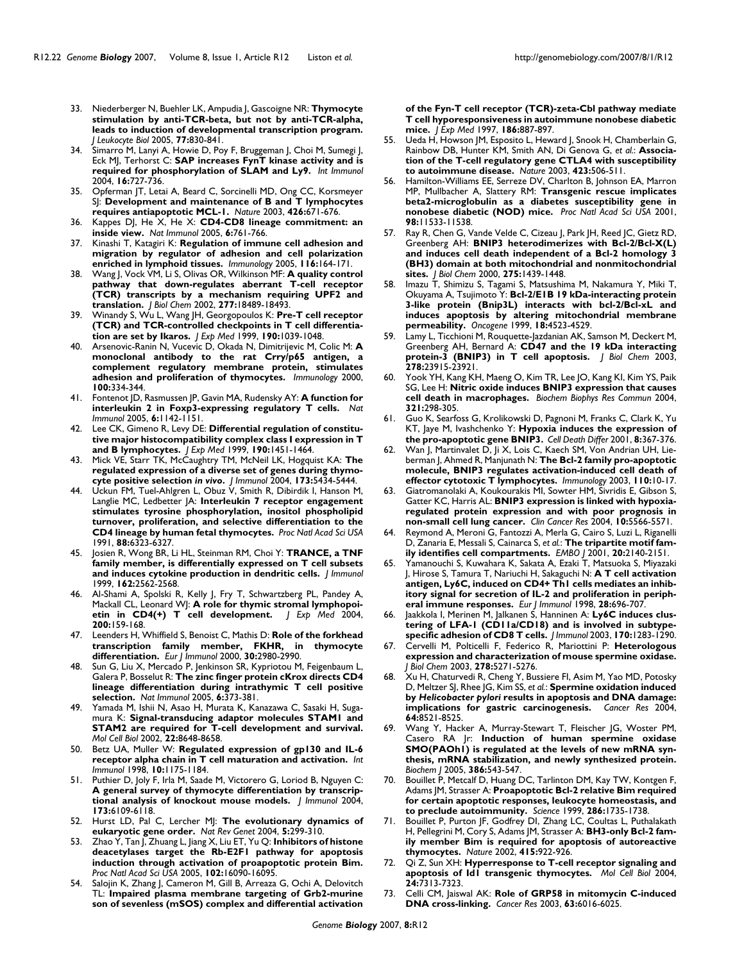- 33. Niederberger N, Buehler LK, Ampudia J, Gascoigne NR: **[Thymocyte](http://www.ncbi.nlm.nih.gov/entrez/query.fcgi?cmd=Retrieve&db=PubMed&dopt=Abstract&list_uids=15661827) [stimulation by anti-TCR-beta, but not by anti-TCR-alpha,](http://www.ncbi.nlm.nih.gov/entrez/query.fcgi?cmd=Retrieve&db=PubMed&dopt=Abstract&list_uids=15661827) leads to induction of developmental transcription program.** *J Leukocyte Biol* 2005, **77:**830-841.
- 34. Simarro M, Lanyi A, Howie D, Poy F, Bruggeman J, Choi M, Sumegi J, Eck MJ, Terhorst C: **[SAP increases FynT kinase activity and is](http://www.ncbi.nlm.nih.gov/entrez/query.fcgi?cmd=Retrieve&db=PubMed&dopt=Abstract&list_uids=15096483) [required for phosphorylation of SLAM and Ly9.](http://www.ncbi.nlm.nih.gov/entrez/query.fcgi?cmd=Retrieve&db=PubMed&dopt=Abstract&list_uids=15096483)** *Int Immunol* 2004, **16:**727-736.
- 35. Opferman JT, Letai A, Beard C, Sorcinelli MD, Ong CC, Korsmeyer SJ: **[Development and maintenance of B and T lymphocytes](http://www.ncbi.nlm.nih.gov/entrez/query.fcgi?cmd=Retrieve&db=PubMed&dopt=Abstract&list_uids=14668867) [requires antiapoptotic MCL-1.](http://www.ncbi.nlm.nih.gov/entrez/query.fcgi?cmd=Retrieve&db=PubMed&dopt=Abstract&list_uids=14668867)** *Nature* 2003, **426:**671-676.
- 36. Kappes DJ, He X, He X: **[CD4-CD8 lineage commitment: an](http://www.ncbi.nlm.nih.gov/entrez/query.fcgi?cmd=Retrieve&db=PubMed&dopt=Abstract&list_uids=16034433) [inside view.](http://www.ncbi.nlm.nih.gov/entrez/query.fcgi?cmd=Retrieve&db=PubMed&dopt=Abstract&list_uids=16034433)** *Nat Immunol* 2005, **6:**761-766.
- 37. Kinashi T, Katagiri K: **[Regulation of immune cell adhesion and](http://www.ncbi.nlm.nih.gov/entrez/query.fcgi?cmd=Retrieve&db=PubMed&dopt=Abstract&list_uids=16162265) [migration by regulator of adhesion and cell polarization](http://www.ncbi.nlm.nih.gov/entrez/query.fcgi?cmd=Retrieve&db=PubMed&dopt=Abstract&list_uids=16162265) [enriched in lymphoid tissues.](http://www.ncbi.nlm.nih.gov/entrez/query.fcgi?cmd=Retrieve&db=PubMed&dopt=Abstract&list_uids=16162265)** *Immunology* 2005, **116:**164-171.
- 38. Wang J, Vock VM, Li S, Olivas OR, Wilkinson MF: **[A quality control](http://www.ncbi.nlm.nih.gov/entrez/query.fcgi?cmd=Retrieve&db=PubMed&dopt=Abstract&list_uids=11889124) [pathway that down-regulates aberrant T-cell receptor](http://www.ncbi.nlm.nih.gov/entrez/query.fcgi?cmd=Retrieve&db=PubMed&dopt=Abstract&list_uids=11889124) (TCR) transcripts by a mechanism requiring UPF2 and [translation.](http://www.ncbi.nlm.nih.gov/entrez/query.fcgi?cmd=Retrieve&db=PubMed&dopt=Abstract&list_uids=11889124)** *J Biol Chem* 2002, **277:**18489-18493.
- 39. Winandy S, Wu L, Wang JH, Georgopoulos K: **[Pre-T cell receptor](http://www.ncbi.nlm.nih.gov/entrez/query.fcgi?cmd=Retrieve&db=PubMed&dopt=Abstract&list_uids=10523602) [\(TCR\) and TCR-controlled checkpoints in T cell differentia](http://www.ncbi.nlm.nih.gov/entrez/query.fcgi?cmd=Retrieve&db=PubMed&dopt=Abstract&list_uids=10523602)[tion are set by Ikaros.](http://www.ncbi.nlm.nih.gov/entrez/query.fcgi?cmd=Retrieve&db=PubMed&dopt=Abstract&list_uids=10523602)** *J Exp Med* 1999, **190:**1039-1048.
- 40. Arsenovic-Ranin N, Vucevic D, Okada N, Dimitrijevic M, Colic M: **[A](http://www.ncbi.nlm.nih.gov/entrez/query.fcgi?cmd=Retrieve&db=PubMed&dopt=Abstract&list_uids=10929055) [monoclonal antibody to the rat Crry/p65 antigen, a](http://www.ncbi.nlm.nih.gov/entrez/query.fcgi?cmd=Retrieve&db=PubMed&dopt=Abstract&list_uids=10929055) complement regulatory membrane protein, stimulates [adhesion and proliferation of thymocytes.](http://www.ncbi.nlm.nih.gov/entrez/query.fcgi?cmd=Retrieve&db=PubMed&dopt=Abstract&list_uids=10929055)** *Immunology* 2000, **100:**334-344.
- 41. Fontenot JD, Rasmussen JP, Gavin MA, Rudensky AY: **[A function for](http://www.ncbi.nlm.nih.gov/entrez/query.fcgi?cmd=Retrieve&db=PubMed&dopt=Abstract&list_uids=16227984) [interleukin 2 in Foxp3-expressing regulatory T cells.](http://www.ncbi.nlm.nih.gov/entrez/query.fcgi?cmd=Retrieve&db=PubMed&dopt=Abstract&list_uids=16227984)** *Nat Immunol* 2005, **6:**1142-1151.
- 42. Lee CK, Gimeno R, Levy DE: **[Differential regulation of constitu](http://www.ncbi.nlm.nih.gov/entrez/query.fcgi?cmd=Retrieve&db=PubMed&dopt=Abstract&list_uids=10562320)[tive major histocompatibility complex class I expression in T](http://www.ncbi.nlm.nih.gov/entrez/query.fcgi?cmd=Retrieve&db=PubMed&dopt=Abstract&list_uids=10562320) [and B lymphocytes.](http://www.ncbi.nlm.nih.gov/entrez/query.fcgi?cmd=Retrieve&db=PubMed&dopt=Abstract&list_uids=10562320)** *J Exp Med* 1999, **190:**1451-1464.
- <span id="page-21-0"></span>43. Mick VE, Starr TK, McCaughtry TM, McNeil LK, Hogquist KA: **The regulated expression of a diverse set of genes during thymocyte positive selection** *in vivo***[.](http://www.ncbi.nlm.nih.gov/entrez/query.fcgi?cmd=Retrieve&db=PubMed&dopt=Abstract&list_uids=15494490)** *J Immunol* 2004, **173:**5434-5444.
- 44. Uckun FM, Tuel-Ahlgren L, Obuz V, Smith R, Dibirdik I, Hanson M, Langlie MC, Ledbetter JA: **[Interleukin 7 receptor engagement](http://www.ncbi.nlm.nih.gov/entrez/query.fcgi?cmd=Retrieve&db=PubMed&dopt=Abstract&list_uids=2068112) [stimulates tyrosine phosphorylation, inositol phospholipid](http://www.ncbi.nlm.nih.gov/entrez/query.fcgi?cmd=Retrieve&db=PubMed&dopt=Abstract&list_uids=2068112) turnover, proliferation, and selective differentiation to the [CD4 lineage by human fetal thymocytes.](http://www.ncbi.nlm.nih.gov/entrez/query.fcgi?cmd=Retrieve&db=PubMed&dopt=Abstract&list_uids=2068112)** *Proc Natl Acad Sci USA* 1991, **88:**6323-6327.
- 45. Josien R, Wong BR, Li HL, Steinman RM, Choi Y: **[TRANCE, a TNF](http://www.ncbi.nlm.nih.gov/entrez/query.fcgi?cmd=Retrieve&db=PubMed&dopt=Abstract&list_uids=10072496) [family member, is differentially expressed on T cell subsets](http://www.ncbi.nlm.nih.gov/entrez/query.fcgi?cmd=Retrieve&db=PubMed&dopt=Abstract&list_uids=10072496) [and induces cytokine production in dendritic cells.](http://www.ncbi.nlm.nih.gov/entrez/query.fcgi?cmd=Retrieve&db=PubMed&dopt=Abstract&list_uids=10072496)** *J Immunol* 1999, **162:**2562-2568.
- 46. Al-Shami A, Spolski R, Kelly J, Fry T, Schwartzberg PL, Pandey A, Mackall CL, Leonard WJ: **[A role for thymic stromal lymphopoi](http://www.ncbi.nlm.nih.gov/entrez/query.fcgi?cmd=Retrieve&db=PubMed&dopt=Abstract&list_uids=15263024)[etin in CD4\(+\) T cell development.](http://www.ncbi.nlm.nih.gov/entrez/query.fcgi?cmd=Retrieve&db=PubMed&dopt=Abstract&list_uids=15263024)** *J Exp Med* 2004, **200:**159-168.
- 47. Leenders H, Whiffield S, Benoist C, Mathis D: **[Role of the forkhead](http://www.ncbi.nlm.nih.gov/entrez/query.fcgi?cmd=Retrieve&db=PubMed&dopt=Abstract&list_uids=11069081) [transcription family member, FKHR, in thymocyte](http://www.ncbi.nlm.nih.gov/entrez/query.fcgi?cmd=Retrieve&db=PubMed&dopt=Abstract&list_uids=11069081) [differentiation.](http://www.ncbi.nlm.nih.gov/entrez/query.fcgi?cmd=Retrieve&db=PubMed&dopt=Abstract&list_uids=11069081)** *Eur J Immunol* 2000, **30:**2980-2990.
- 48. Sun G, Liu X, Mercado P, Jenkinson SR, Kypriotou M, Feigenbaum L, Galera P, Bosselut R: **[The zinc finger protein cKrox directs CD4](http://www.ncbi.nlm.nih.gov/entrez/query.fcgi?cmd=Retrieve&db=PubMed&dopt=Abstract&list_uids=15750595) [lineage differentiation during intrathymic T cell positive](http://www.ncbi.nlm.nih.gov/entrez/query.fcgi?cmd=Retrieve&db=PubMed&dopt=Abstract&list_uids=15750595) [selection.](http://www.ncbi.nlm.nih.gov/entrez/query.fcgi?cmd=Retrieve&db=PubMed&dopt=Abstract&list_uids=15750595)** *Nat Immunol* 2005, **6:**373-381.
- 49. Yamada M, Ishii N, Asao H, Murata K, Kanazawa C, Sasaki H, Sugamura K: **[Signal-transducing adaptor molecules STAM1 and](http://www.ncbi.nlm.nih.gov/entrez/query.fcgi?cmd=Retrieve&db=PubMed&dopt=Abstract&list_uids=12446783) [STAM2 are required for T-cell development and survival.](http://www.ncbi.nlm.nih.gov/entrez/query.fcgi?cmd=Retrieve&db=PubMed&dopt=Abstract&list_uids=12446783)** *Mol Cell Biol* 2002, **22:**8648-8658.
- 50. Betz UA, Muller W: **[Regulated expression of gp130 and IL-6](http://www.ncbi.nlm.nih.gov/entrez/query.fcgi?cmd=Retrieve&db=PubMed&dopt=Abstract&list_uids=9723704) [receptor alpha chain in T cell maturation and activation.](http://www.ncbi.nlm.nih.gov/entrez/query.fcgi?cmd=Retrieve&db=PubMed&dopt=Abstract&list_uids=9723704)** *Int Immunol* 1998, **10:**1175-1184.
- 51. Puthier D, Joly F, Irla M, Saade M, Victorero G, Loriod B, Nguyen C: **[A general survey of thymocyte differentiation by transcrip](http://www.ncbi.nlm.nih.gov/entrez/query.fcgi?cmd=Retrieve&db=PubMed&dopt=Abstract&list_uids=15528347)[tional analysis of knockout mouse models.](http://www.ncbi.nlm.nih.gov/entrez/query.fcgi?cmd=Retrieve&db=PubMed&dopt=Abstract&list_uids=15528347)** *J Immunol* 2004, **173:**6109-6118.
- 52. Hurst LD, Pal C, Lercher MJ: **[The evolutionary dynamics of](http://www.ncbi.nlm.nih.gov/entrez/query.fcgi?cmd=Retrieve&db=PubMed&dopt=Abstract&list_uids=15131653) [eukaryotic gene order.](http://www.ncbi.nlm.nih.gov/entrez/query.fcgi?cmd=Retrieve&db=PubMed&dopt=Abstract&list_uids=15131653)** *Nat Rev Genet* 2004, **5:**299-310.
- 53. Zhao Y, Tan J, Zhuang L, Jiang X, Liu ET, Yu Q: **[Inhibitors of histone](http://www.ncbi.nlm.nih.gov/entrez/query.fcgi?cmd=Retrieve&db=PubMed&dopt=Abstract&list_uids=16243973) [deacetylases target the Rb-E2F1 pathway for apoptosis](http://www.ncbi.nlm.nih.gov/entrez/query.fcgi?cmd=Retrieve&db=PubMed&dopt=Abstract&list_uids=16243973) induction through activation of proapoptotic protein Bim.** *Proc Natl Acad Sci USA* 2005, **102:**16090-16095.
- 54. Salojin K, Zhang J, Cameron M, Gill B, Arreaza G, Ochi A, Delovitch TL: **[Impaired plasma membrane targeting of Grb2-murine](http://www.ncbi.nlm.nih.gov/entrez/query.fcgi?cmd=Retrieve&db=PubMed&dopt=Abstract&list_uids=9294143) [son of sevenless \(mSOS\) complex and differential activation](http://www.ncbi.nlm.nih.gov/entrez/query.fcgi?cmd=Retrieve&db=PubMed&dopt=Abstract&list_uids=9294143)**

**[of the Fyn-T cell receptor \(TCR\)-zeta-Cbl pathway mediate](http://www.ncbi.nlm.nih.gov/entrez/query.fcgi?cmd=Retrieve&db=PubMed&dopt=Abstract&list_uids=9294143) T cell hyporesponsiveness in autoimmune nonobese diabetic [mice.](http://www.ncbi.nlm.nih.gov/entrez/query.fcgi?cmd=Retrieve&db=PubMed&dopt=Abstract&list_uids=9294143)** *J Exp Med* 1997, **186:**887-897.

- 55. Ueda H, Howson JM, Esposito L, Heward J, Snook H, Chamberlain G, Rainbow DB, Hunter KM, Smith AN, Di Genova G, *et al.*: **[Associa](http://www.ncbi.nlm.nih.gov/entrez/query.fcgi?cmd=Retrieve&db=PubMed&dopt=Abstract&list_uids=12724780)[tion of the T-cell regulatory gene CTLA4 with susceptibility](http://www.ncbi.nlm.nih.gov/entrez/query.fcgi?cmd=Retrieve&db=PubMed&dopt=Abstract&list_uids=12724780) [to autoimmune disease.](http://www.ncbi.nlm.nih.gov/entrez/query.fcgi?cmd=Retrieve&db=PubMed&dopt=Abstract&list_uids=12724780)** *Nature* 2003, **423:**506-511.
- Hamilton-Williams EE, Serreze DV, Charlton B, Johnson EA, Marron MP, Mullbacher A, Slattery RM: **[Transgenic rescue implicates](http://www.ncbi.nlm.nih.gov/entrez/query.fcgi?cmd=Retrieve&db=PubMed&dopt=Abstract&list_uids=11572996) [beta2-microglobulin as a diabetes susceptibility gene in](http://www.ncbi.nlm.nih.gov/entrez/query.fcgi?cmd=Retrieve&db=PubMed&dopt=Abstract&list_uids=11572996) [nonobese diabetic \(NOD\) mice.](http://www.ncbi.nlm.nih.gov/entrez/query.fcgi?cmd=Retrieve&db=PubMed&dopt=Abstract&list_uids=11572996)** *Proc Natl Acad Sci USA* 2001, **98:**11533-11538.
- 57. Ray R, Chen G, Vande Velde C, Cizeau J, Park JH, Reed JC, Gietz RD, Greenberg AH: **[BNIP3 heterodimerizes with Bcl-2/Bcl-X\(L\)](http://www.ncbi.nlm.nih.gov/entrez/query.fcgi?cmd=Retrieve&db=PubMed&dopt=Abstract&list_uids=10625696) [and induces cell death independent of a Bcl-2 homology 3](http://www.ncbi.nlm.nih.gov/entrez/query.fcgi?cmd=Retrieve&db=PubMed&dopt=Abstract&list_uids=10625696) (BH3) domain at both mitochondrial and nonmitochondrial [sites.](http://www.ncbi.nlm.nih.gov/entrez/query.fcgi?cmd=Retrieve&db=PubMed&dopt=Abstract&list_uids=10625696)** *J Biol Chem* 2000, **275:**1439-1448.
- Imazu T, Shimizu S, Tagami S, Matsushima M, Nakamura Y, Miki T, Okuyama A, Tsujimoto Y: **[Bcl-2/E1B 19 kDa-interacting protein](http://www.ncbi.nlm.nih.gov/entrez/query.fcgi?cmd=Retrieve&db=PubMed&dopt=Abstract&list_uids=10467396) [3-like protein \(Bnip3L\) interacts with bcl-2/Bcl-xL and](http://www.ncbi.nlm.nih.gov/entrez/query.fcgi?cmd=Retrieve&db=PubMed&dopt=Abstract&list_uids=10467396) induces apoptosis by altering mitochondrial membrane [permeability.](http://www.ncbi.nlm.nih.gov/entrez/query.fcgi?cmd=Retrieve&db=PubMed&dopt=Abstract&list_uids=10467396)** *Oncogene* 1999, **18:**4523-4529.
- 59. Lamy L, Ticchioni M, Rouquette-Jazdanian AK, Samson M, Deckert M, Greenberg AH, Bernard A: **[CD47 and the 19 kDa interacting](http://www.ncbi.nlm.nih.gov/entrez/query.fcgi?cmd=Retrieve&db=PubMed&dopt=Abstract&list_uids=12690108) [protein-3 \(BNIP3\) in T cell apoptosis.](http://www.ncbi.nlm.nih.gov/entrez/query.fcgi?cmd=Retrieve&db=PubMed&dopt=Abstract&list_uids=12690108)** *J Biol Chem* 2003, **278:**23915-23921.
- Yook YH, Kang KH, Maeng O, Kim TR, Lee JO, Kang KI, Kim YS, Paik SG, Lee H: **[Nitric oxide induces BNIP3 expression that causes](http://www.ncbi.nlm.nih.gov/entrez/query.fcgi?cmd=Retrieve&db=PubMed&dopt=Abstract&list_uids=15358175) [cell death in macrophages.](http://www.ncbi.nlm.nih.gov/entrez/query.fcgi?cmd=Retrieve&db=PubMed&dopt=Abstract&list_uids=15358175)** *Biochem Biophys Res Commun* 2004, **321:**298-305.
- 61. Guo K, Searfoss G, Krolikowski D, Pagnoni M, Franks C, Clark K, Yu KT, Jaye M, Ivashchenko Y: **[Hypoxia induces the expression of](http://www.ncbi.nlm.nih.gov/entrez/query.fcgi?cmd=Retrieve&db=PubMed&dopt=Abstract&list_uids=11550088) [the pro-apoptotic gene BNIP3.](http://www.ncbi.nlm.nih.gov/entrez/query.fcgi?cmd=Retrieve&db=PubMed&dopt=Abstract&list_uids=11550088)** *Cell Death Differ* 2001, **8:**367-376.
- 62. Wan J, Martinvalet D, Ji X, Lois C, Kaech SM, Von Andrian UH, Lieberman J, Ahmed R, Manjunath N: **[The Bcl-2 family pro-apoptotic](http://www.ncbi.nlm.nih.gov/entrez/query.fcgi?cmd=Retrieve&db=PubMed&dopt=Abstract&list_uids=12941136) [molecule, BNIP3 regulates activation-induced cell death of](http://www.ncbi.nlm.nih.gov/entrez/query.fcgi?cmd=Retrieve&db=PubMed&dopt=Abstract&list_uids=12941136) [effector cytotoxic T lymphocytes.](http://www.ncbi.nlm.nih.gov/entrez/query.fcgi?cmd=Retrieve&db=PubMed&dopt=Abstract&list_uids=12941136)** *Immunology* 2003, **110:**10-17.
- 63. Giatromanolaki A, Koukourakis MI, Sowter HM, Sivridis E, Gibson S, Gatter KC, Harris AL: **[BNIP3 expression is linked with hypoxia](http://www.ncbi.nlm.nih.gov/entrez/query.fcgi?cmd=Retrieve&db=PubMed&dopt=Abstract&list_uids=15328198)[regulated protein expression and with poor prognosis in](http://www.ncbi.nlm.nih.gov/entrez/query.fcgi?cmd=Retrieve&db=PubMed&dopt=Abstract&list_uids=15328198) [non-small cell lung cancer.](http://www.ncbi.nlm.nih.gov/entrez/query.fcgi?cmd=Retrieve&db=PubMed&dopt=Abstract&list_uids=15328198)** *Clin Cancer Res* 2004, **10:**5566-5571.
- 64. Reymond A, Meroni G, Fantozzi A, Merla G, Cairo S, Luzi L, Riganelli D, Zanaria E, Messali S, Cainarca S, *et al.*: **[The tripartite motif fam](http://www.ncbi.nlm.nih.gov/entrez/query.fcgi?cmd=Retrieve&db=PubMed&dopt=Abstract&list_uids=11331580)[ily identifies cell compartments.](http://www.ncbi.nlm.nih.gov/entrez/query.fcgi?cmd=Retrieve&db=PubMed&dopt=Abstract&list_uids=11331580)** *EMBO J* 2001, **20:**2140-2151.
- 65. Yamanouchi S, Kuwahara K, Sakata A, Ezaki T, Matsuoka S, Miyazaki J, Hirose S, Tamura T, Nariuchi H, Sakaguchi N: **[A T cell activation](http://www.ncbi.nlm.nih.gov/entrez/query.fcgi?cmd=Retrieve&db=PubMed&dopt=Abstract&list_uids=9521080) [antigen, Ly6C, induced on CD4+ Th1 cells mediates an inhib](http://www.ncbi.nlm.nih.gov/entrez/query.fcgi?cmd=Retrieve&db=PubMed&dopt=Abstract&list_uids=9521080)itory signal for secretion of IL-2 and proliferation in periph[eral immune responses.](http://www.ncbi.nlm.nih.gov/entrez/query.fcgi?cmd=Retrieve&db=PubMed&dopt=Abstract&list_uids=9521080)** *Eur J Immunol* 1998, **28:**696-707.
- Jaakkola I, Merinen M, Jalkanen S, Hanninen A: [Ly6C induces clus](http://www.ncbi.nlm.nih.gov/entrez/query.fcgi?cmd=Retrieve&db=PubMed&dopt=Abstract&list_uids=12538687)**[tering of LFA-1 \(CD11a/CD18\) and is involved in subtype](http://www.ncbi.nlm.nih.gov/entrez/query.fcgi?cmd=Retrieve&db=PubMed&dopt=Abstract&list_uids=12538687)[specific adhesion of CD8 T cells.](http://www.ncbi.nlm.nih.gov/entrez/query.fcgi?cmd=Retrieve&db=PubMed&dopt=Abstract&list_uids=12538687)** *J Immunol* 2003, **170:**1283-1290.
- 67. Cervelli M, Polticelli F, Federico R, Mariottini P: **[Heterologous](http://www.ncbi.nlm.nih.gov/entrez/query.fcgi?cmd=Retrieve&db=PubMed&dopt=Abstract&list_uids=12458219) [expression and characterization of mouse spermine oxidase.](http://www.ncbi.nlm.nih.gov/entrez/query.fcgi?cmd=Retrieve&db=PubMed&dopt=Abstract&list_uids=12458219)** *J Biol Chem* 2003, **278:**5271-5276.
- 68. Xu H, Chaturvedi R, Cheng Y, Bussiere FI, Asim M, Yao MD, Potosky D, Meltzer SJ, Rhee JG, Kim SS, *et al.*: **Spermine oxidation induced by** *Helicobacter pylori* **[results in apoptosis and DNA damage:](http://www.ncbi.nlm.nih.gov/entrez/query.fcgi?cmd=Retrieve&db=PubMed&dopt=Abstract&list_uids=15574757) [implications for gastric carcinogenesis.](http://www.ncbi.nlm.nih.gov/entrez/query.fcgi?cmd=Retrieve&db=PubMed&dopt=Abstract&list_uids=15574757)** *Cancer Res* 2004, **64:**8521-8525.
- 69. Wang Y, Hacker A, Murray-Stewart T, Fleischer JG, Woster PM, Casero RA Jr: **[Induction of human spermine oxidase](http://www.ncbi.nlm.nih.gov/entrez/query.fcgi?cmd=Retrieve&db=PubMed&dopt=Abstract&list_uids=15496143) [SMO\(PAOh1\) is regulated at the levels of new mRNA syn](http://www.ncbi.nlm.nih.gov/entrez/query.fcgi?cmd=Retrieve&db=PubMed&dopt=Abstract&list_uids=15496143)thesis, mRNA stabilization, and newly synthesized protein.** *Biochem J* 2005, **386:**543-547.
- 70. Bouillet P, Metcalf D, Huang DC, Tarlinton DM, Kay TW, Kontgen F, Adams JM, Strasser A: **[Proapoptotic Bcl-2 relative Bim required](http://www.ncbi.nlm.nih.gov/entrez/query.fcgi?cmd=Retrieve&db=PubMed&dopt=Abstract&list_uids=10576740) [for certain apoptotic responses, leukocyte homeostasis, and](http://www.ncbi.nlm.nih.gov/entrez/query.fcgi?cmd=Retrieve&db=PubMed&dopt=Abstract&list_uids=10576740) [to preclude autoimmunity.](http://www.ncbi.nlm.nih.gov/entrez/query.fcgi?cmd=Retrieve&db=PubMed&dopt=Abstract&list_uids=10576740)** *Science* 1999, **286:**1735-1738.
- 71. Bouillet P, Purton JF, Godfrey DI, Zhang LC, Coultas L, Puthalakath H, Pellegrini M, Cory S, Adams JM, Strasser A: **[BH3-only Bcl-2 fam](http://www.ncbi.nlm.nih.gov/entrez/query.fcgi?cmd=Retrieve&db=PubMed&dopt=Abstract&list_uids=11859372)[ily member Bim is required for apoptosis of autoreactive](http://www.ncbi.nlm.nih.gov/entrez/query.fcgi?cmd=Retrieve&db=PubMed&dopt=Abstract&list_uids=11859372) [thymocytes.](http://www.ncbi.nlm.nih.gov/entrez/query.fcgi?cmd=Retrieve&db=PubMed&dopt=Abstract&list_uids=11859372)** *Nature* 2002, **415:**922-926.
- 72. Qi Z, Sun XH: **[Hyperresponse to T-cell receptor signaling and](http://www.ncbi.nlm.nih.gov/entrez/query.fcgi?cmd=Retrieve&db=PubMed&dopt=Abstract&list_uids=15314144) [apoptosis of Id1 transgenic thymocytes.](http://www.ncbi.nlm.nih.gov/entrez/query.fcgi?cmd=Retrieve&db=PubMed&dopt=Abstract&list_uids=15314144)** *Mol Cell Biol* 2004, **24:**7313-7323.
- 73. Celli CM, Jaiswal AK: **[Role of GRP58 in mitomycin C-induced](http://www.ncbi.nlm.nih.gov/entrez/query.fcgi?cmd=Retrieve&db=PubMed&dopt=Abstract&list_uids=14522930) [DNA cross-linking.](http://www.ncbi.nlm.nih.gov/entrez/query.fcgi?cmd=Retrieve&db=PubMed&dopt=Abstract&list_uids=14522930)** *Cancer Res* 2003, **63:**6016-6025.